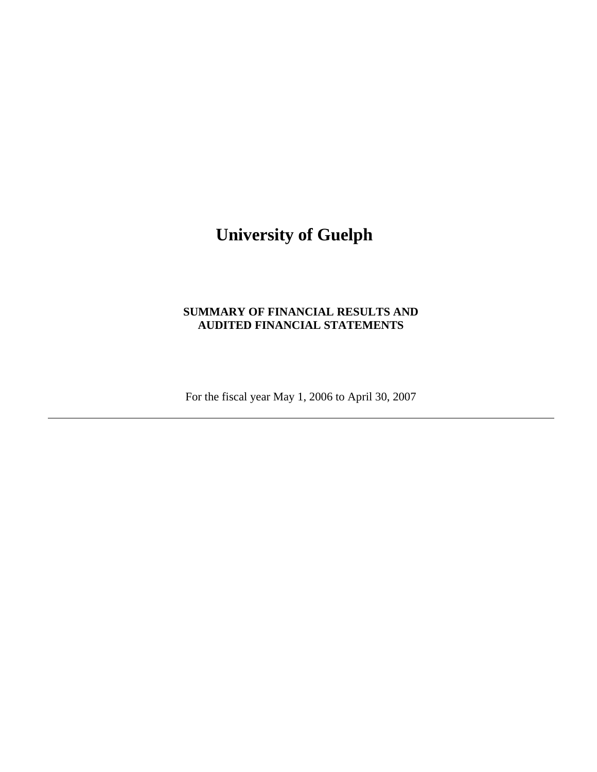# **University of Guelph**

# **SUMMARY OF FINANCIAL RESULTS AND AUDITED FINANCIAL STATEMENTS**

For the fiscal year May 1, 2006 to April 30, 2007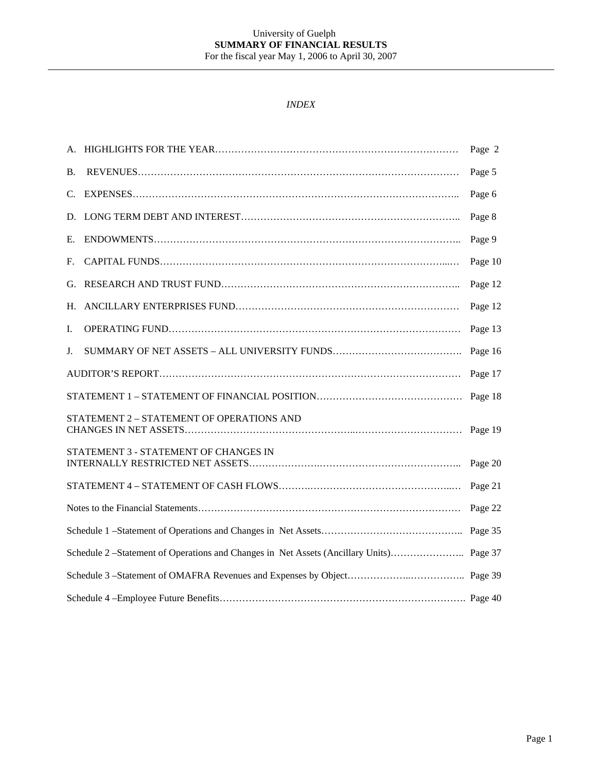## *INDEX*

|    |                                                                                 | Page 2  |
|----|---------------------------------------------------------------------------------|---------|
| Β. |                                                                                 | Page 5  |
| C. |                                                                                 | Page 6  |
| D. |                                                                                 | Page 8  |
| Е. |                                                                                 | Page 9  |
| F. |                                                                                 | Page 10 |
| G. |                                                                                 | Page 12 |
| Н. |                                                                                 | Page 12 |
| I. |                                                                                 | Page 13 |
| J. |                                                                                 | Page 16 |
|    |                                                                                 | Page 17 |
|    |                                                                                 | Page 18 |
|    | STATEMENT 2 - STATEMENT OF OPERATIONS AND                                       | Page 19 |
|    | STATEMENT 3 - STATEMENT OF CHANGES IN                                           | Page 20 |
|    |                                                                                 | Page 21 |
|    |                                                                                 | Page 22 |
|    |                                                                                 | Page 35 |
|    | Schedule 2 -Statement of Operations and Changes in Net Assets (Ancillary Units) | Page 37 |
|    |                                                                                 |         |
|    |                                                                                 |         |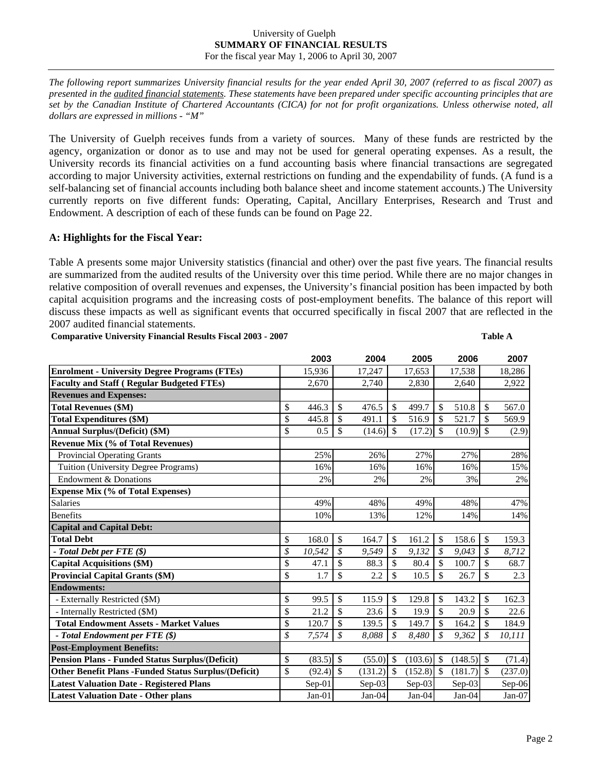#### University of Guelph **SUMMARY OF FINANCIAL RESULTS**  For the fiscal year May 1, 2006 to April 30, 2007

*The following report summarizes University financial results for the year ended April 30, 2007 (referred to as fiscal 2007) as presented in the audited financial statements. These statements have been prepared under specific accounting principles that are set by the Canadian Institute of Chartered Accountants (CICA) for not for profit organizations. Unless otherwise noted, all dollars are expressed in millions - "M"* 

The University of Guelph receives funds from a variety of sources. Many of these funds are restricted by the agency, organization or donor as to use and may not be used for general operating expenses. As a result, the University records its financial activities on a fund accounting basis where financial transactions are segregated according to major University activities, external restrictions on funding and the expendability of funds. (A fund is a self-balancing set of financial accounts including both balance sheet and income statement accounts.) The University currently reports on five different funds: Operating, Capital, Ancillary Enterprises, Research and Trust and Endowment. A description of each of these funds can be found on Page 22.

# **A: Highlights for the Fiscal Year:**

Table A presents some major University statistics (financial and other) over the past five years. The financial results are summarized from the audited results of the University over this time period. While there are no major changes in relative composition of overall revenues and expenses, the University's financial position has been impacted by both capital acquisition programs and the increasing costs of post-employment benefits. The balance of this report will discuss these impacts as well as significant events that occurred specifically in fiscal 2007 that are reflected in the 2007 audited financial statements.

**Comparative University Financial Results Fiscal 2003 - 2007 Table A**

|                                                             |                           | 2003     |                   | 2004     |               | 2005    |                   | 2006         |               | 2007    |
|-------------------------------------------------------------|---------------------------|----------|-------------------|----------|---------------|---------|-------------------|--------------|---------------|---------|
| <b>Enrolment - University Degree Programs (FTEs)</b>        |                           | 15,936   |                   | 17,247   |               | 17,653  |                   | 17,538       |               | 18,286  |
| <b>Faculty and Staff (Regular Budgeted FTEs)</b>            |                           | 2,670    |                   | 2,740    |               | 2,830   |                   | 2,640        |               | 2,922   |
| <b>Revenues and Expenses:</b>                               |                           |          |                   |          |               |         |                   |              |               |         |
| <b>Total Revenues (\$M)</b>                                 | \$                        | 446.3    | \$                | 476.5    | \$            | 499.7   | $\mathcal{S}$     | 510.8        | \$            | 567.0   |
| <b>Total Expenditures (\$M)</b>                             | \$                        | 445.8    | $\mathcal{S}$     | 491.1    | \$            | 516.9   | $\mathcal{S}$     | 521.7        | \$            | 569.9   |
| <b>Annual Surplus/(Deficit) (\$M)</b>                       | \$                        | 0.5      | \$                | (14.6)   | $\mathcal{S}$ | (17.2)  | $\mathcal{S}$     | $(10.9)$ \$  |               | (2.9)   |
| <b>Revenue Mix (% of Total Revenues)</b>                    |                           |          |                   |          |               |         |                   |              |               |         |
| <b>Provincial Operating Grants</b>                          |                           | 25%      |                   | 26%      |               | 27%     |                   | 27%          |               | 28%     |
| Tuition (University Degree Programs)                        |                           | 16%      |                   | 16%      |               | 16%     |                   | 16%          |               | 15%     |
| <b>Endowment &amp; Donations</b>                            |                           | 2%       |                   | 2%       |               | 2%      |                   | 3%           |               | 2%      |
| <b>Expense Mix (% of Total Expenses)</b>                    |                           |          |                   |          |               |         |                   |              |               |         |
| Salaries                                                    |                           | 49%      |                   | 48%      |               | 49%     |                   | 48%          |               | 47%     |
| <b>Benefits</b>                                             |                           | 10%      |                   | 13%      |               | 12%     |                   | 14%          |               | 14%     |
| <b>Capital and Capital Debt:</b>                            |                           |          |                   |          |               |         |                   |              |               |         |
| <b>Total Debt</b>                                           | $\mathcal{S}$             | 168.0    | $\mathcal{S}$     | 164.7    | $\mathcal{S}$ | 161.2   | $\mathcal{S}$     | 158.6        | $\mathcal{S}$ | 159.3   |
| - Total Debt per $FTE$ (\$)                                 | \$                        | 10,542   | \$                | 9,549    | \$            | 9,132   | $\mathcal{S}_{0}$ | 9,043        | \$            | 8,712   |
| <b>Capital Acquisitions (\$M)</b>                           | \$                        | 47.1     | \$                | 88.3     | \$            | 80.4    | $\mathcal{S}$     | 100.7        | \$            | 68.7    |
| <b>Provincial Capital Grants (\$M)</b>                      | \$                        | 1.7      | $\mathbb{S}$      | 2.2      | \$            | 10.5    | $\mathcal{S}$     | 26.7         | \$            | 2.3     |
| <b>Endowments:</b>                                          |                           |          |                   |          |               |         |                   |              |               |         |
| - Externally Restricted (\$M)                               | \$                        | 99.5     | \$                | 115.9    | \$            | 129.8   | $\mathcal{S}$     | 143.2        | \$            | 162.3   |
| - Internally Restricted (\$M)                               | $\boldsymbol{\mathsf{S}}$ | 21.2     | \$                | 23.6     | \$            | 19.9    | $\mathcal{S}$     | 20.9         | \$            | 22.6    |
| <b>Total Endowment Assets - Market Values</b>               | \$                        | 120.7    | \$                | 139.5    | \$            | 149.7   | $\mathcal{S}$     | 164.2        | \$            | 184.9   |
| - Total Endowment per FTE $(\$)$                            | \$                        | 7,574    | $\mathcal{S}_{0}$ | 8,088    | \$            | 8,480   | \$                | 9,362        | \$            | 10,111  |
| <b>Post-Employment Benefits:</b>                            |                           |          |                   |          |               |         |                   |              |               |         |
| <b>Pension Plans - Funded Status Surplus/(Deficit)</b>      | \$                        | (83.5)   | $\mathcal{S}$     | (55.0)   | \$            | (103.6) | $\mathcal{S}$     | $(148.5)$ \$ |               | (71.4)  |
| <b>Other Benefit Plans -Funded Status Surplus/(Deficit)</b> | $\mathbb{S}$              | (92.4)   | $\mathbb{S}$      | (131.2)  | $\mathcal{S}$ | (152.8) | $\mathcal{S}$     | (181.7)      | $\mathcal{S}$ | (237.0) |
| <b>Latest Valuation Date - Registered Plans</b>             |                           | Sep-01   |                   | $Sep-03$ |               | Sep-03  |                   | $Sep-03$     |               | Sep-06  |
| <b>Latest Valuation Date - Other plans</b>                  |                           | $Jan-01$ |                   | $Jan-04$ |               | Jan-04  |                   | Jan-04       |               | Jan-07  |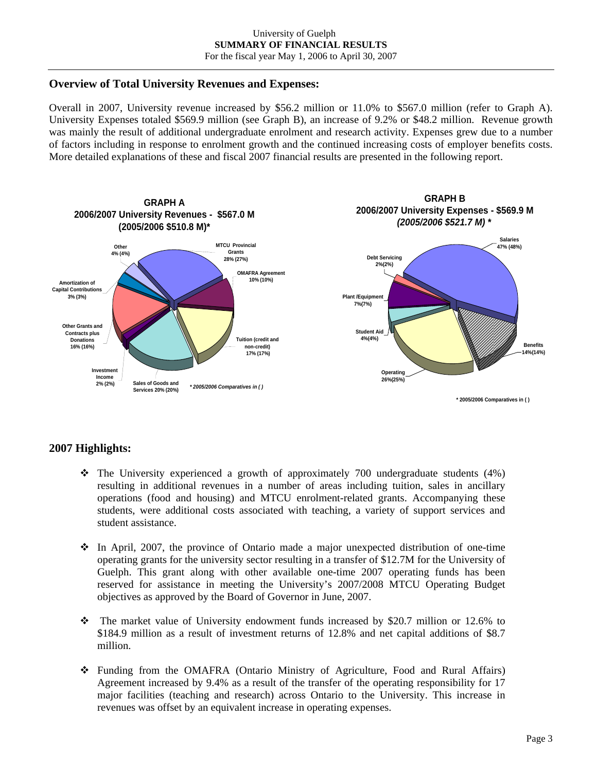# **Overview of Total University Revenues and Expenses:**

Overall in 2007, University revenue increased by \$56.2 million or 11.0% to \$567.0 million (refer to Graph A). University Expenses totaled \$569.9 million (see Graph B), an increase of 9.2% or \$48.2 million. Revenue growth was mainly the result of additional undergraduate enrolment and research activity. Expenses grew due to a number of factors including in response to enrolment growth and the continued increasing costs of employer benefits costs. More detailed explanations of these and fiscal 2007 financial results are presented in the following report.



# **2007 Highlights:**

- $\div$  The University experienced a growth of approximately 700 undergraduate students (4%) resulting in additional revenues in a number of areas including tuition, sales in ancillary operations (food and housing) and MTCU enrolment-related grants. Accompanying these students, were additional costs associated with teaching, a variety of support services and student assistance.
- $\div$  In April, 2007, the province of Ontario made a major unexpected distribution of one-time operating grants for the university sector resulting in a transfer of \$12.7M for the University of Guelph. This grant along with other available one-time 2007 operating funds has been reserved for assistance in meeting the University's 2007/2008 MTCU Operating Budget objectives as approved by the Board of Governor in June, 2007.
- The market value of University endowment funds increased by \$20.7 million or 12.6% to \$184.9 million as a result of investment returns of 12.8% and net capital additions of \$8.7 million.
- Funding from the OMAFRA (Ontario Ministry of Agriculture, Food and Rural Affairs) Agreement increased by 9.4% as a result of the transfer of the operating responsibility for 17 major facilities (teaching and research) across Ontario to the University. This increase in revenues was offset by an equivalent increase in operating expenses.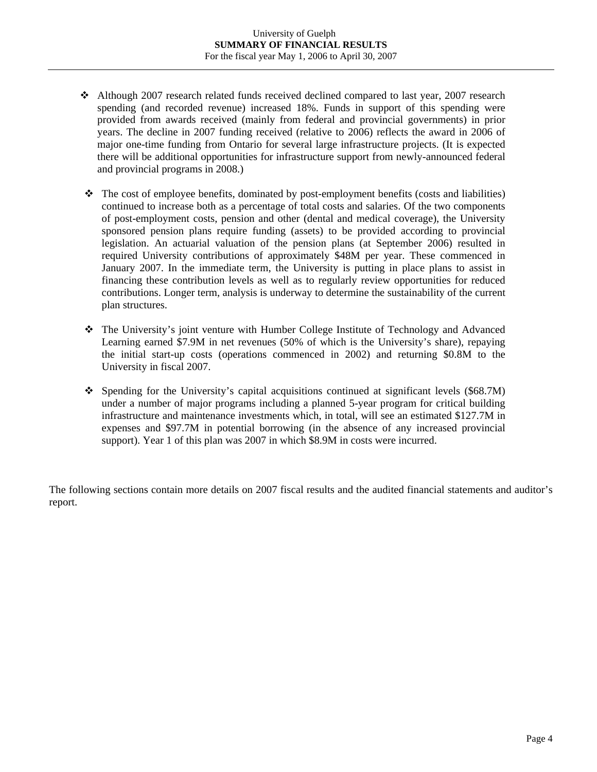- Although 2007 research related funds received declined compared to last year, 2007 research spending (and recorded revenue) increased 18%. Funds in support of this spending were provided from awards received (mainly from federal and provincial governments) in prior years. The decline in 2007 funding received (relative to 2006) reflects the award in 2006 of major one-time funding from Ontario for several large infrastructure projects. (It is expected there will be additional opportunities for infrastructure support from newly-announced federal and provincial programs in 2008.)
- $\hat{\mathbf{v}}$  The cost of employee benefits, dominated by post-employment benefits (costs and liabilities) continued to increase both as a percentage of total costs and salaries. Of the two components of post-employment costs, pension and other (dental and medical coverage), the University sponsored pension plans require funding (assets) to be provided according to provincial legislation. An actuarial valuation of the pension plans (at September 2006) resulted in required University contributions of approximately \$48M per year. These commenced in January 2007. In the immediate term, the University is putting in place plans to assist in financing these contribution levels as well as to regularly review opportunities for reduced contributions. Longer term, analysis is underway to determine the sustainability of the current plan structures.
- The University's joint venture with Humber College Institute of Technology and Advanced Learning earned \$7.9M in net revenues (50% of which is the University's share), repaying the initial start-up costs (operations commenced in 2002) and returning \$0.8M to the University in fiscal 2007.
- $\div$  Spending for the University's capital acquisitions continued at significant levels (\$68.7M) under a number of major programs including a planned 5-year program for critical building infrastructure and maintenance investments which, in total, will see an estimated \$127.7M in expenses and \$97.7M in potential borrowing (in the absence of any increased provincial support). Year 1 of this plan was 2007 in which \$8.9M in costs were incurred.

The following sections contain more details on 2007 fiscal results and the audited financial statements and auditor's report.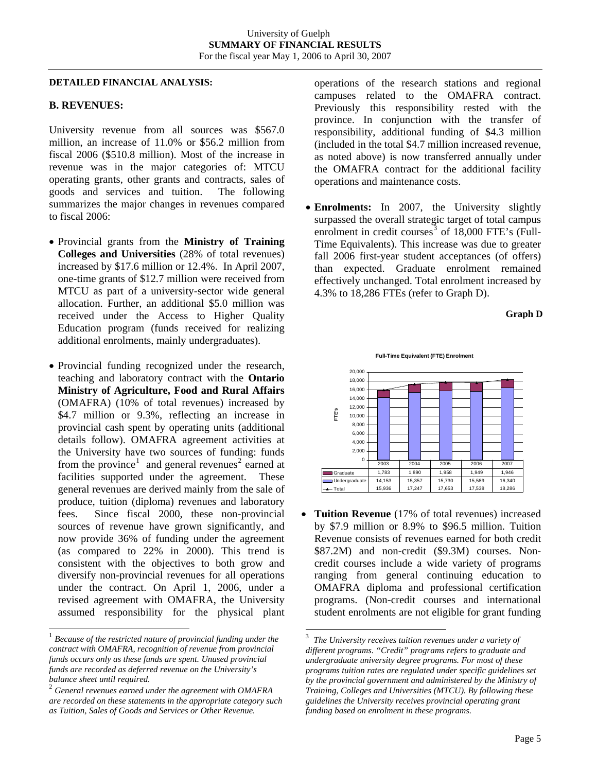### **DETAILED FINANCIAL ANALYSIS:**

## **B. REVENUES:**

University revenue from all sources was \$567.0 million, an increase of 11.0% or \$56.2 million from fiscal 2006 (\$510.8 million). Most of the increase in revenue was in the major categories of: MTCU operating grants, other grants and contracts, sales of goods and services and tuition. The following summarizes the major changes in revenues compared to fiscal 2006:

- Provincial grants from the **Ministry of Training Colleges and Universities** (28% of total revenues) increased by \$17.6 million or 12.4%. In April 2007, one-time grants of \$12.7 million were received from MTCU as part of a university-sector wide general allocation. Further, an additional \$5.0 million was received under the Access to Higher Quality Education program (funds received for realizing additional enrolments, mainly undergraduates).
- Provincial funding recognized under the research, teaching and laboratory contract with the **Ontario Ministry of Agriculture, Food and Rural Affairs**  (OMAFRA) (10% of total revenues) increased by \$4.7 million or 9.3%, reflecting an increase in provincial cash spent by operating units (additional details follow). OMAFRA agreement activities at the University have two sources of funding: funds from the province<sup>[1](#page-5-0)</sup> and general revenues<sup>[2](#page-5-1)</sup> earned at facilities supported under the agreement. These general revenues are derived mainly from the sale of produce, tuition (diploma) revenues and laboratory fees. Since fiscal 2000, these non-provincial sources of revenue have grown significantly, and now provide 36% of funding under the agreement (as compared to 22% in 2000). This trend is consistent with the objectives to both grow and diversify non-provincial revenues for all operations under the contract. On April 1, 2006, under a revised agreement with OMAFRA, the University assumed responsibility for the physical plant

l

operations of the research stations and regional campuses related to the OMAFRA contract. Previously this responsibility rested with the province. In conjunction with the transfer of responsibility, additional funding of \$4.3 million (included in the total \$4.7 million increased revenue, as noted above) is now transferred annually under the OMAFRA contract for the additional facility operations and maintenance costs.

• **Enrolments:** In 2007, the University slightly surpassed the overall strategic target of total campus enrolment in credit courses $3$  of 18,000 FTE's (Full-Time Equivalents). This increase was due to greater fall 2006 first-year student acceptances (of offers) than expected. Graduate enrolment remained effectively unchanged. Total enrolment increased by 4.3% to 18,286 FTEs (refer to Graph D).





**Tuition Revenue** (17% of total revenues) increased by \$7.9 million or 8.9% to \$96.5 million. Tuition Revenue consists of revenues earned for both credit \$87.2M) and non-credit (\$9.3M) courses. Noncredit courses include a wide variety of programs ranging from general continuing education to OMAFRA diploma and professional certification programs. (Non-credit courses and international student enrolments are not eligible for grant funding

 $\overline{a}$ 

<span id="page-5-2"></span><span id="page-5-0"></span><sup>1</sup> *Because of the restricted nature of provincial funding under the contract with OMAFRA, recognition of revenue from provincial funds occurs only as these funds are spent. Unused provincial funds are recorded as deferred revenue on the University's balance sheet until required.* 

<span id="page-5-1"></span><sup>2</sup> *General revenues earned under the agreement with OMAFRA are recorded on these statements in the appropriate category such as Tuition, Sales of Goods and Services or Other Revenue.* 

<sup>3</sup> *The University receives tuition revenues under a variety of different programs. "Credit" programs refers to graduate and undergraduate university degree programs. For most of these programs tuition rates are regulated under specific guidelines set by the provincial government and administered by the Ministry of Training, Colleges and Universities (MTCU). By following these guidelines the University receives provincial operating grant funding based on enrolment in these programs.*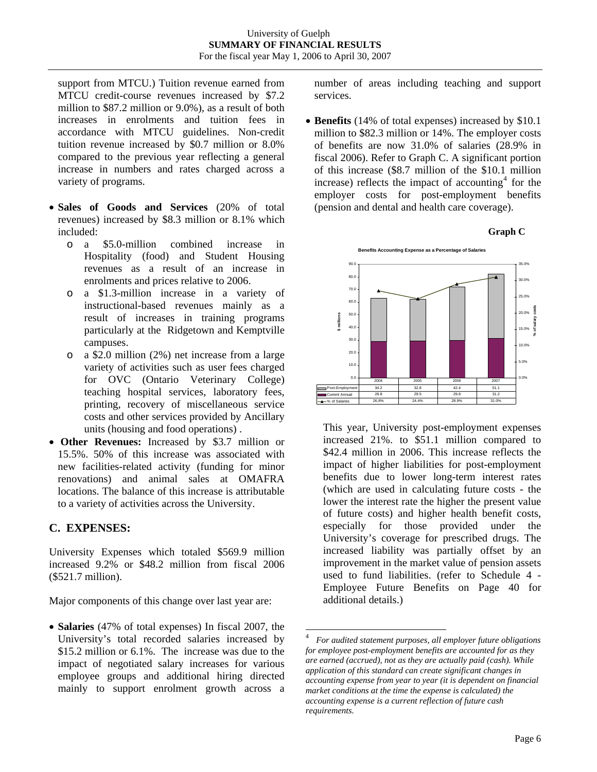support from MTCU.) Tuition revenue earned from MTCU credit-course revenues increased by \$7.2 million to \$87.2 million or 9.0%), as a result of both increases in enrolments and tuition fees in accordance with MTCU guidelines. Non-credit tuition revenue increased by \$0.7 million or 8.0% compared to the previous year reflecting a general increase in numbers and rates charged across a variety of programs.

- **Sales of Goods and Services** (20% of total revenues) increased by \$8.3 million or 8.1% which included:
	- o a \$5.0-million combined increase in Hospitality (food) and Student Housing revenues as a result of an increase in enrolments and prices relative to 2006.
	- o a \$1.3-million increase in a variety of instructional-based revenues mainly as a result of increases in training programs particularly at the Ridgetown and Kemptville campuses.
	- o a \$2.0 million (2%) net increase from a large variety of activities such as user fees charged for OVC (Ontario Veterinary College) teaching hospital services, laboratory fees, printing, recovery of miscellaneous service costs and other services provided by Ancillary units (housing and food operations) .
- **Other Revenues:** Increased by \$3.7 million or 15.5%. 50% of this increase was associated with new facilities-related activity (funding for minor renovations) and animal sales at OMAFRA locations. The balance of this increase is attributable to a variety of activities across the University.

# **C. EXPENSES:**

University Expenses which totaled \$569.9 million increased 9.2% or \$48.2 million from fiscal 2006 (\$521.7 million).

Major components of this change over last year are:

<span id="page-6-0"></span>• **Salaries** (47% of total expenses) In fiscal 2007, the University's total recorded salaries increased by \$15.2 million or 6.1%. The increase was due to the impact of negotiated salary increases for various employee groups and additional hiring directed mainly to support enrolment growth across a number of areas including teaching and support services.

• **Benefits** (14% of total expenses) increased by \$10.1 million to \$82.3 million or 14%. The employer costs of benefits are now 31.0% of salaries (28.9% in fiscal 2006). Refer to Graph C. A significant portion of this increase (\$8.7 million of the \$10.1 million increase) reflects the impact of accounting<sup>[4](#page-6-0)</sup> for the employer costs for post-employment benefits (pension and dental and health care coverage).





This year, University post-employment expenses increased 21%. to \$51.1 million compared to \$42.4 million in 2006. This increase reflects the impact of higher liabilities for post-employment benefits due to lower long-term interest rates (which are used in calculating future costs - the lower the interest rate the higher the present value of future costs) and higher health benefit costs, especially for those provided under the University's coverage for prescribed drugs. The increased liability was partially offset by an improvement in the market value of pension assets used to fund liabilities. (refer to Schedule 4 - Employee Future Benefits on Page 40 for additional details.)

 $\frac{1}{4}$  *For audited statement purposes, all employer future obligations for employee post-employment benefits are accounted for as they are earned (accrued), not as they are actually paid (cash). While application of this standard can create significant changes in accounting expense from year to year (it is dependent on financial market conditions at the time the expense is calculated) the accounting expense is a current reflection of future cash requirements.*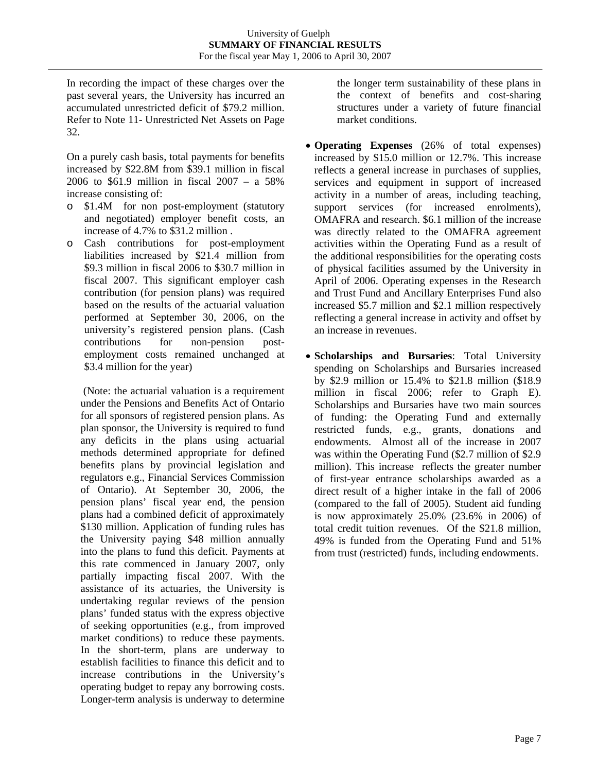In recording the impact of these charges over the past several years, the University has incurred an accumulated unrestricted deficit of \$79.2 million. Refer to Note 11- Unrestricted Net Assets on Page 32.

On a purely cash basis, total payments for benefits increased by \$22.8M from \$39.1 million in fiscal 2006 to \$61.9 million in fiscal 2007 – a 58% increase consisting of:

- o \$1.4M for non post-employment (statutory and negotiated) employer benefit costs, an increase of 4.7% to \$31.2 million .
- o Cash contributions for post-employment liabilities increased by \$21.4 million from \$9.3 million in fiscal 2006 to \$30.7 million in fiscal 2007. This significant employer cash contribution (for pension plans) was required based on the results of the actuarial valuation performed at September 30, 2006, on the university's registered pension plans. (Cash contributions for non-pension postemployment costs remained unchanged at \$3.4 million for the year)

 (Note: the actuarial valuation is a requirement under the Pensions and Benefits Act of Ontario for all sponsors of registered pension plans. As plan sponsor, the University is required to fund any deficits in the plans using actuarial methods determined appropriate for defined benefits plans by provincial legislation and regulators e.g., Financial Services Commission of Ontario). At September 30, 2006, the pension plans' fiscal year end, the pension plans had a combined deficit of approximately \$130 million. Application of funding rules has the University paying \$48 million annually into the plans to fund this deficit. Payments at this rate commenced in January 2007, only partially impacting fiscal 2007. With the assistance of its actuaries, the University is undertaking regular reviews of the pension plans' funded status with the express objective of seeking opportunities (e.g., from improved market conditions) to reduce these payments. In the short-term, plans are underway to establish facilities to finance this deficit and to increase contributions in the University's operating budget to repay any borrowing costs. Longer-term analysis is underway to determine the longer term sustainability of these plans in the context of benefits and cost-sharing structures under a variety of future financial market conditions.

- **Operating Expenses** (26% of total expenses) increased by \$15.0 million or 12.7%. This increase reflects a general increase in purchases of supplies, services and equipment in support of increased activity in a number of areas, including teaching, support services (for increased enrolments), OMAFRA and research. \$6.1 million of the increase was directly related to the OMAFRA agreement activities within the Operating Fund as a result of the additional responsibilities for the operating costs of physical facilities assumed by the University in April of 2006. Operating expenses in the Research and Trust Fund and Ancillary Enterprises Fund also increased \$5.7 million and \$2.1 million respectively reflecting a general increase in activity and offset by an increase in revenues.
- **Scholarships and Bursaries**: Total University spending on Scholarships and Bursaries increased by \$2.9 million or 15.4% to \$21.8 million (\$18.9 million in fiscal 2006; refer to Graph E). Scholarships and Bursaries have two main sources of funding: the Operating Fund and externally restricted funds, e.g., grants, donations and endowments. Almost all of the increase in 2007 was within the Operating Fund (\$2.7 million of \$2.9 million). This increase reflects the greater number of first-year entrance scholarships awarded as a direct result of a higher intake in the fall of 2006 (compared to the fall of 2005). Student aid funding is now approximately 25.0% (23.6% in 2006) of total credit tuition revenues. Of the \$21.8 million, 49% is funded from the Operating Fund and 51% from trust (restricted) funds, including endowments.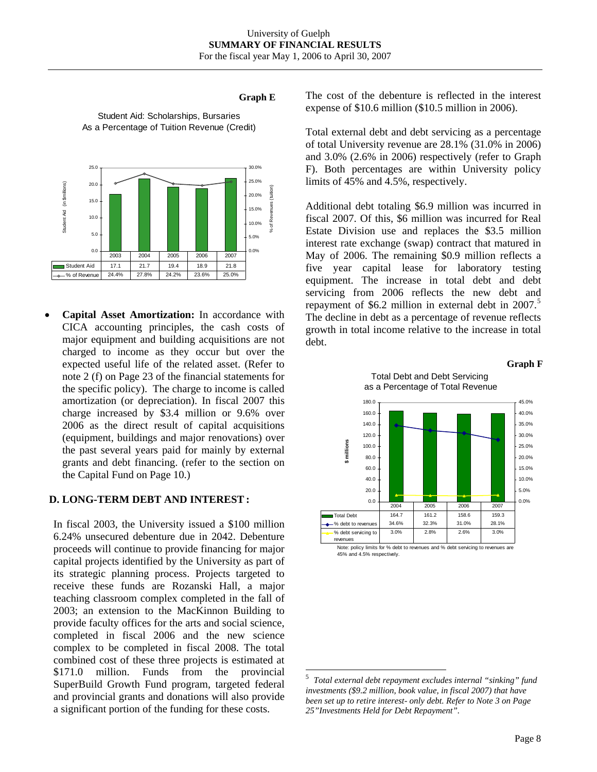## **Graph E**



Student Aid: Scholarships, Bursaries As a Percentage of Tuition Revenue (Credit)

• **Capital Asset Amortization:** In accordance with CICA accounting principles, the cash costs of major equipment and building acquisitions are not charged to income as they occur but over the expected useful life of the related asset. (Refer to note 2 (f) on Page 23 of the financial statements for the specific policy). The charge to income is called amortization (or depreciation). In fiscal 2007 this charge increased by \$3.4 million or 9.6% over 2006 as the direct result of capital acquisitions (equipment, buildings and major renovations) over the past several years paid for mainly by external grants and debt financing. (refer to the section on the Capital Fund on Page 10.)

# **D. LONG-TERM DEBT AND INTEREST :**

<span id="page-8-0"></span>In fiscal 2003, the University issued a \$100 million 6.24% unsecured debenture due in 2042. Debenture proceeds will continue to provide financing for major capital projects identified by the University as part of its strategic planning process. Projects targeted to receive these funds are Rozanski Hall, a major teaching classroom complex completed in the fall of 2003; an extension to the MacKinnon Building to provide faculty offices for the arts and social science, completed in fiscal 2006 and the new science complex to be completed in fiscal 2008. The total combined cost of these three projects is estimated at \$171.0 million. Funds from the provincial SuperBuild Growth Fund program, targeted federal and provincial grants and donations will also provide a significant portion of the funding for these costs.

The cost of the debenture is reflected in the interest expense of \$10.6 million (\$10.5 million in 2006).

Total external debt and debt servicing as a percentage of total University revenue are 28.1% (31.0% in 2006) and 3.0% (2.6% in 2006) respectively (refer to Graph F). Both percentages are within University policy limits of 45% and 4.5%, respectively.

Additional debt totaling \$6.9 million was incurred in fiscal 2007. Of this, \$6 million was incurred for Real Estate Division use and replaces the \$3.5 million interest rate exchange (swap) contract that matured in May of 2006. The remaining \$0.9 million reflects a five year capital lease for laboratory testing equipment. The increase in total debt and debt servicing from 2006 reflects the new debt and repayment of \$6.2 million in external debt in  $2007$ .<sup>[5](#page-8-0)</sup> The decline in debt as a percentage of revenue reflects growth in total income relative to the increase in total debt.





45% and 4.5% respectively.

 $\overline{a}$ 

<sup>5</sup> *Total external debt repayment excludes internal "sinking" fund investments (\$9.2 million, book value, in fiscal 2007) that have been set up to retire interest- only debt. Refer to Note 3 on Page 25"Investments Held for Debt Repayment".*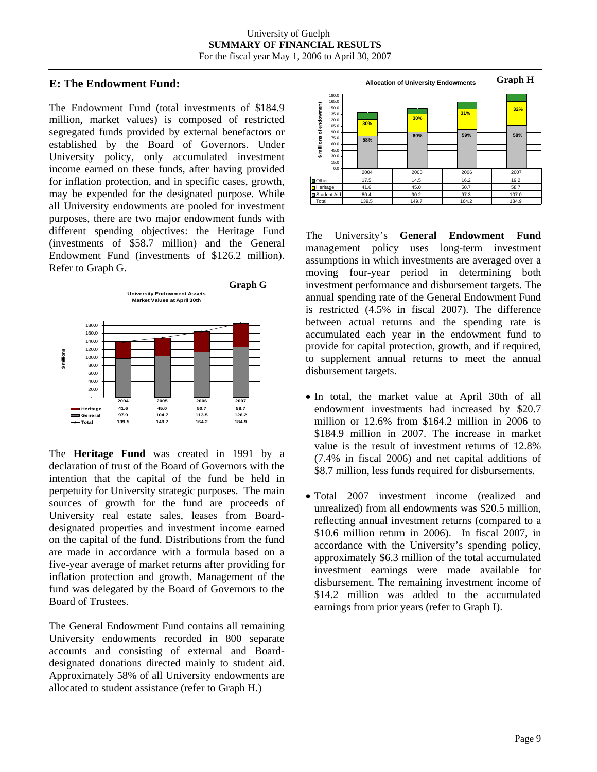# **E: The Endowment Fund:**

The Endowment Fund (total investments of \$184.9 million, market values) is composed of restricted segregated funds provided by external benefactors or established by the Board of Governors. Under University policy, only accumulated investment income earned on these funds, after having provided for inflation protection, and in specific cases, growth, may be expended for the designated purpose. While all University endowments are pooled for investment purposes, there are two major endowment funds with different spending objectives: the Heritage Fund (investments of \$58.7 million) and the General Endowment Fund (investments of \$126.2 million). Refer to Graph G.



The **Heritage Fund** was created in 1991 by a declaration of trust of the Board of Governors with the intention that the capital of the fund be held in perpetuity for University strategic purposes. The main sources of growth for the fund are proceeds of University real estate sales, leases from Boarddesignated properties and investment income earned on the capital of the fund. Distributions from the fund are made in accordance with a formula based on a five-year average of market returns after providing for inflation protection and growth. Management of the fund was delegated by the Board of Governors to the Board of Trustees.

The General Endowment Fund contains all remaining University endowments recorded in 800 separate accounts and consisting of external and Boarddesignated donations directed mainly to student aid. Approximately 58% of all University endowments are allocated to student assistance (refer to Graph H.)

**Graph H Allocation of University Endowments** 180.0 165.0 endowment **\$ millions of endowment** 150.0 **32% 31%** 135.0 **30%** 120.0 **30%** 105.0 i millions of 90.0 **60% 58% 59% 58%** 75.0  $60.0$ 45.0 30.0 ...<br>15.0 0.0 2004 2005 2006 2007 Other | 17.5 | 14.5 | 16.2 | 19.2 Heritage | 41.6 | 45.0 | 50.7 | 58.7 Student Aid 80.4 90.2 97.3 107.0

Total | 139.5 | 149.7 | 164.2 | 184.9

The University's **General Endowment Fund** management policy uses long-term investment assumptions in which investments are averaged over a moving four-year period in determining both investment performance and disbursement targets. The annual spending rate of the General Endowment Fund is restricted (4.5% in fiscal 2007). The difference between actual returns and the spending rate is accumulated each year in the endowment fund to provide for capital protection, growth, and if required, to supplement annual returns to meet the annual disbursement targets.

- In total, the market value at April 30th of all endowment investments had increased by \$20.7 million or 12.6% from \$164.2 million in 2006 to \$184.9 million in 2007. The increase in market value is the result of investment returns of 12.8% (7.4% in fiscal 2006) and net capital additions of \$8.7 million, less funds required for disbursements.
- Total 2007 investment income (realized and unrealized) from all endowments was \$20.5 million, reflecting annual investment returns (compared to a \$10.6 million return in 2006). In fiscal 2007, in accordance with the University's spending policy, approximately \$6.3 million of the total accumulated investment earnings were made available for disbursement. The remaining investment income of \$14.2 million was added to the accumulated earnings from prior years (refer to Graph I).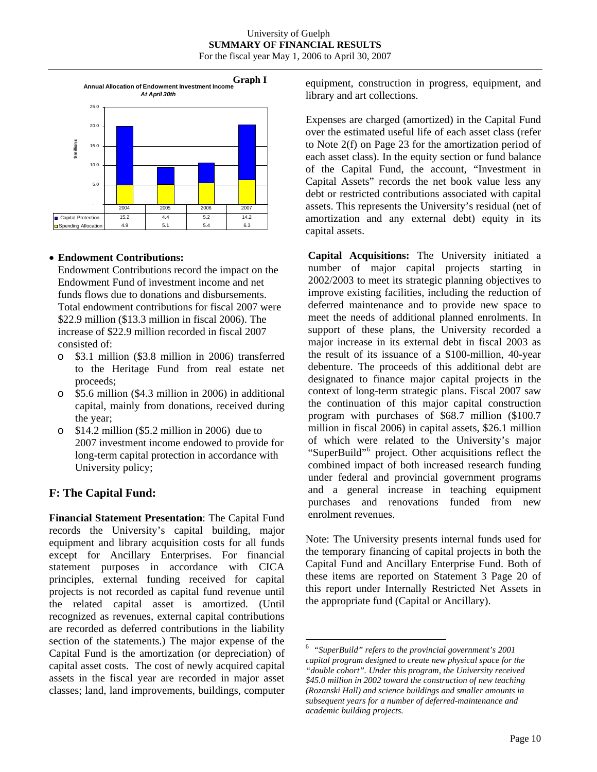

# • **Endowment Contributions:**

Endowment Contributions record the impact on the Endowment Fund of investment income and net funds flows due to donations and disbursements. Total endowment contributions for fiscal 2007 were \$22.9 million (\$13.3 million in fiscal 2006). The increase of \$22.9 million recorded in fiscal 2007 consisted of:

- o \$3.1 million (\$3.8 million in 2006) transferred to the Heritage Fund from real estate net proceeds;
- o \$5.6 million (\$4.3 million in 2006) in additional capital, mainly from donations, received during the year;
- o \$14.2 million (\$5.2 million in 2006) due to 2007 investment income endowed to provide for long-term capital protection in accordance with University policy;

# **F: The Capital Fund:**

<span id="page-10-0"></span>**Financial Statement Presentation**: The Capital Fund records the University's capital building, major equipment and library acquisition costs for all funds except for Ancillary Enterprises. For financial statement purposes in accordance with CICA principles, external funding received for capital projects is not recorded as capital fund revenue until the related capital asset is amortized. (Until recognized as revenues, external capital contributions are recorded as deferred contributions in the liability section of the statements.) The major expense of the Capital Fund is the amortization (or depreciation) of capital asset costs. The cost of newly acquired capital assets in the fiscal year are recorded in major asset classes; land, land improvements, buildings, computer

equipment, construction in progress, equipment, and library and art collections.

Expenses are charged (amortized) in the Capital Fund over the estimated useful life of each asset class (refer to Note 2(f) on Page 23 for the amortization period of each asset class). In the equity section or fund balance of the Capital Fund, the account, "Investment in Capital Assets" records the net book value less any debt or restricted contributions associated with capital assets. This represents the University's residual (net of amortization and any external debt) equity in its capital assets.

**Capital Acquisitions:** The University initiated a number of major capital projects starting in 2002/2003 to meet its strategic planning objectives to improve existing facilities, including the reduction of deferred maintenance and to provide new space to meet the needs of additional planned enrolments. In support of these plans, the University recorded a major increase in its external debt in fiscal 2003 as the result of its issuance of a \$100-million, 40-year debenture. The proceeds of this additional debt are designated to finance major capital projects in the context of long-term strategic plans. Fiscal 2007 saw the continuation of this major capital construction program with purchases of \$68.7 million (\$100.7 million in fiscal 2006) in capital assets, \$26.1 million of which were related to the University's major "SuperBuild"<sup>[6](#page-10-0)</sup> project. Other acquisitions reflect the combined impact of both increased research funding under federal and provincial government programs and a general increase in teaching equipment purchases and renovations funded from new enrolment revenues.

Note: The University presents internal funds used for the temporary financing of capital projects in both the Capital Fund and Ancillary Enterprise Fund. Both of these items are reported on Statement 3 Page 20 of this report under Internally Restricted Net Assets in the appropriate fund (Capital or Ancillary).

 6 *"SuperBuild" refers to the provincial government's 2001 capital program designed to create new physical space for the "double cohort". Under this program, the University received \$45.0 million in 2002 toward the construction of new teaching (Rozanski Hall) and science buildings and smaller amounts in subsequent years for a number of deferred-maintenance and academic building projects.*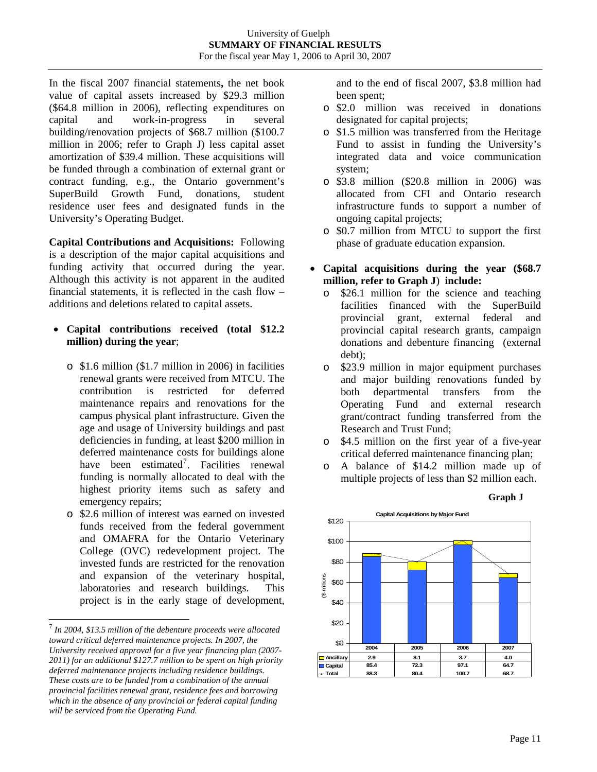In the fiscal 2007 financial statements**,** the net book value of capital assets increased by \$29.3 million (\$64.8 million in 2006), reflecting expenditures on capital and work-in-progress in several building/renovation projects of \$68.7 million (\$100.7 million in 2006; refer to Graph J) less capital asset amortization of \$39.4 million. These acquisitions will be funded through a combination of external grant or contract funding, e.g., the Ontario government's SuperBuild Growth Fund, donations, student residence user fees and designated funds in the University's Operating Budget.

**Capital Contributions and Acquisitions:** Following is a description of the major capital acquisitions and funding activity that occurred during the year. Although this activity is not apparent in the audited financial statements, it is reflected in the cash flow – additions and deletions related to capital assets.

- **Capital contributions received (total \$12.2 million) during the year**;
	- o \$1.6 million (\$1.7 million in 2006) in facilities renewal grants were received from MTCU. The contribution is restricted for deferred maintenance repairs and renovations for the campus physical plant infrastructure. Given the age and usage of University buildings and past deficiencies in funding, at least \$200 million in deferred maintenance costs for buildings alone have been estimated<sup>[7](#page-11-0)</sup>. Facilities renewal funding is normally allocated to deal with the highest priority items such as safety and emergency repairs;
	- o \$2.6 million of interest was earned on invested funds received from the federal government and OMAFRA for the Ontario Veterinary College (OVC) redevelopment project. The invested funds are restricted for the renovation and expansion of the veterinary hospital, laboratories and research buildings. This project is in the early stage of development,

l

and to the end of fiscal 2007, \$3.8 million had been spent;

- o \$2.0 million was received in donations designated for capital projects;
- o \$1.5 million was transferred from the Heritage Fund to assist in funding the University's integrated data and voice communication system;
- o \$3.8 million (\$20.8 million in 2006) was allocated from CFI and Ontario research infrastructure funds to support a number of ongoing capital projects;
- o \$0.7 million from MTCU to support the first phase of graduate education expansion.
- **Capital acquisitions during the year (\$68.7 million, refer to Graph J**) **include:**
	- o \$26.1 million for the science and teaching facilities financed with the SuperBuild provincial grant, external federal and provincial capital research grants, campaign donations and debenture financing (external debt);
	- o \$23.9 million in major equipment purchases and major building renovations funded by both departmental transfers from the Operating Fund and external research grant/contract funding transferred from the Research and Trust Fund;
	- o \$4.5 million on the first year of a five-year critical deferred maintenance financing plan;
	- o A balance of \$14.2 million made up of multiple projects of less than \$2 million each.





<span id="page-11-0"></span><sup>7</sup>  *In 2004, \$13.5 million of the debenture proceeds were allocated toward critical deferred maintenance projects. In 2007, the University received approval for a five year financing plan (2007- 2011) for an additional \$127.7 million to be spent on high priority deferred maintenance projects including residence buildings. These costs are to be funded from a combination of the annual provincial facilities renewal grant, residence fees and borrowing which in the absence of any provincial or federal capital funding will be serviced from the Operating Fund.*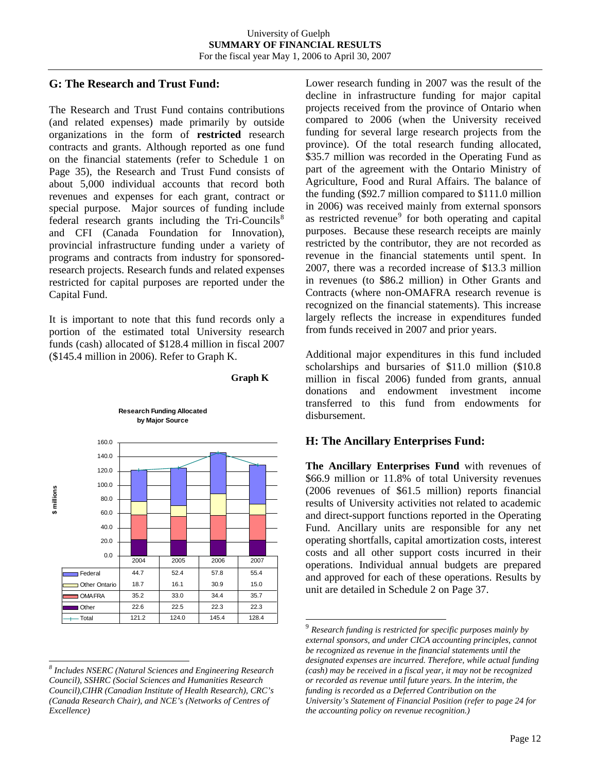# **G: The Research and Trust Fund:**

The Research and Trust Fund contains contributions (and related expenses) made primarily by outside organizations in the form of **restricted** research contracts and grants. Although reported as one fund on the financial statements (refer to Schedule 1 on Page 35), the Research and Trust Fund consists of about 5,000 individual accounts that record both revenues and expenses for each grant, contract or special purpose. Major sources of funding include federal research grants including the  $Tri-Countis<sup>8</sup>$  $Tri-Countis<sup>8</sup>$  $Tri-Countis<sup>8</sup>$ and CFI (Canada Foundation for Innovation), provincial infrastructure funding under a variety of programs and contracts from industry for sponsoredresearch projects. Research funds and related expenses restricted for capital purposes are reported under the Capital Fund.

It is important to note that this fund records only a portion of the estimated total University research funds (cash) allocated of \$128.4 million in fiscal 2007 (\$145.4 million in 2006). Refer to Graph K.

**Research Funding Allocated**





 $\overline{a}$ 

<span id="page-12-1"></span>l

Lower research funding in 2007 was the result of the decline in infrastructure funding for major capital projects received from the province of Ontario when compared to 2006 (when the University received funding for several large research projects from the province). Of the total research funding allocated, \$35.7 million was recorded in the Operating Fund as part of the agreement with the Ontario Ministry of Agriculture, Food and Rural Affairs. The balance of the funding (\$92.7 million compared to \$111.0 million in 2006) was received mainly from external sponsors as restricted revenue<sup>[9](#page-12-1)</sup> for both operating and capital purposes. Because these research receipts are mainly restricted by the contributor, they are not recorded as revenue in the financial statements until spent. In 2007, there was a recorded increase of \$13.3 million in revenues (to \$86.2 million) in Other Grants and Contracts (where non-OMAFRA research revenue is recognized on the financial statements). This increase largely reflects the increase in expenditures funded from funds received in 2007 and prior years.

Additional major expenditures in this fund included scholarships and bursaries of \$11.0 million (\$10.8 million in fiscal 2006) funded from grants, annual donations and endowment investment income transferred to this fund from endowments for disbursement.

# **H: The Ancillary Enterprises Fund:**

**The Ancillary Enterprises Fund** with revenues of \$66.9 million or 11.8% of total University revenues (2006 revenues of \$61.5 million) reports financial results of University activities not related to academic and direct-support functions reported in the Operating Fund. Ancillary units are responsible for any net operating shortfalls, capital amortization costs, interest costs and all other support costs incurred in their operations. Individual annual budgets are prepared and approved for each of these operations. Results by unit are detailed in Schedule 2 on Page 37.

<span id="page-12-0"></span>*<sup>8</sup> Includes NSERC (Natural Sciences and Engineering Research Council), SSHRC (Social Sciences and Humanities Research Council),CIHR (Canadian Institute of Health Research), CRC's (Canada Research Chair), and NCE's (Networks of Centres of Excellence)* 

<sup>9</sup> *Research funding is restricted for specific purposes mainly by external sponsors, and under CICA accounting principles, cannot be recognized as revenue in the financial statements until the designated expenses are incurred. Therefore, while actual funding (cash) may be received in a fiscal year, it may not be recognized or recorded as revenue until future years. In the interim, the funding is recorded as a Deferred Contribution on the University's Statement of Financial Position (refer to page 24 for the accounting policy on revenue recognition.)*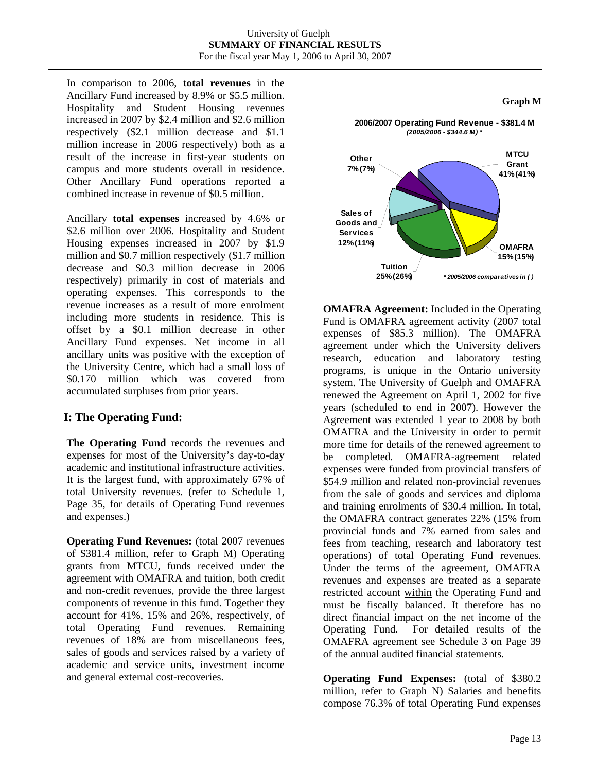In comparison to 2006, **total revenues** in the Ancillary Fund increased by 8.9% or \$5.5 million. Hospitality and Student Housing revenues increased in 2007 by \$2.4 million and \$2.6 million respectively (\$2.1 million decrease and \$1.1 million increase in 2006 respectively) both as a result of the increase in first-year students on campus and more students overall in residence. Other Ancillary Fund operations reported a combined increase in revenue of \$0.5 million.

Ancillary **total expenses** increased by 4.6% or \$2.6 million over 2006. Hospitality and Student Housing expenses increased in 2007 by \$1.9 million and \$0.7 million respectively (\$1.7 million decrease and \$0.3 million decrease in 2006 respectively) primarily in cost of materials and operating expenses. This corresponds to the revenue increases as a result of more enrolment including more students in residence. This is offset by a \$0.1 million decrease in other Ancillary Fund expenses. Net income in all ancillary units was positive with the exception of the University Centre, which had a small loss of \$0.170 million which was covered from accumulated surpluses from prior years.

# **I: The Operating Fund:**

**The Operating Fund** records the revenues and expenses for most of the University's day-to-day academic and institutional infrastructure activities. It is the largest fund, with approximately 67% of total University revenues. (refer to Schedule 1, Page 35, for details of Operating Fund revenues and expenses.)

**Operating Fund Revenues:** (total 2007 revenues of \$381.4 million, refer to Graph M) Operating grants from MTCU, funds received under the agreement with OMAFRA and tuition, both credit and non-credit revenues, provide the three largest components of revenue in this fund. Together they account for 41%, 15% and 26%, respectively, of total Operating Fund revenues. Remaining revenues of 18% are from miscellaneous fees, sales of goods and services raised by a variety of academic and service units, investment income and general external cost-recoveries.



**OMAFRA Agreement:** Included in the Operating Fund is OMAFRA agreement activity (2007 total expenses of \$85.3 million). The OMAFRA agreement under which the University delivers research, education and laboratory testing programs, is unique in the Ontario university system. The University of Guelph and OMAFRA renewed the Agreement on April 1, 2002 for five years (scheduled to end in 2007). However the Agreement was extended 1 year to 2008 by both OMAFRA and the University in order to permit more time for details of the renewed agreement to be completed. OMAFRA-agreement related expenses were funded from provincial transfers of \$54.9 million and related non-provincial revenues from the sale of goods and services and diploma and training enrolments of \$30.4 million. In total, the OMAFRA contract generates 22% (15% from provincial funds and 7% earned from sales and fees from teaching, research and laboratory test operations) of total Operating Fund revenues. Under the terms of the agreement, OMAFRA revenues and expenses are treated as a separate restricted account within the Operating Fund and must be fiscally balanced. It therefore has no direct financial impact on the net income of the Operating Fund. For detailed results of the OMAFRA agreement see Schedule 3 on Page 39 of the annual audited financial statements.

**Operating Fund Expenses:** (total of \$380.2 million, refer to Graph N) Salaries and benefits compose 76.3% of total Operating Fund expenses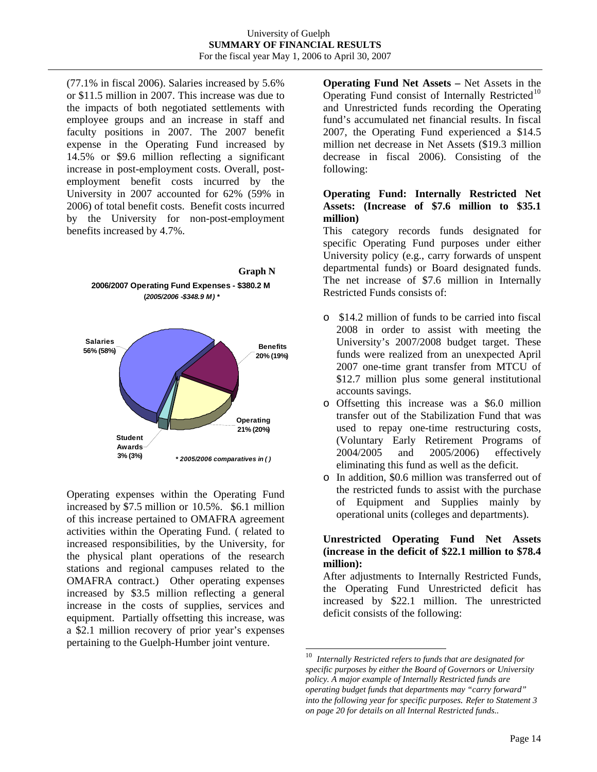(77.1% in fiscal 2006). Salaries increased by 5.6% or \$11.5 million in 2007. This increase was due to the impacts of both negotiated settlements with employee groups and an increase in staff and faculty positions in 2007. The 2007 benefit expense in the Operating Fund increased by 14.5% or \$9.6 million reflecting a significant increase in post-employment costs. Overall, postemployment benefit costs incurred by the University in 2007 accounted for 62% (59% in 2006) of total benefit costs. Benefit costs incurred by the University for non-post-employment benefits increased by 4.7%.



<span id="page-14-0"></span>Operating expenses within the Operating Fund increased by \$7.5 million or 10.5%. \$6.1 million of this increase pertained to OMAFRA agreement activities within the Operating Fund. ( related to increased responsibilities, by the University, for the physical plant operations of the research stations and regional campuses related to the OMAFRA contract.) Other operating expenses increased by \$3.5 million reflecting a general increase in the costs of supplies, services and equipment. Partially offsetting this increase, was a \$2.1 million recovery of prior year's expenses pertaining to the Guelph-Humber joint venture.

**Operating Fund Net Assets –** Net Assets in the Operating Fund consist of Internally Restricted<sup>[10](#page-14-0)</sup> and Unrestricted funds recording the Operating fund's accumulated net financial results. In fiscal 2007, the Operating Fund experienced a \$14.5 million net decrease in Net Assets (\$19.3 million decrease in fiscal 2006). Consisting of the following:

# **Operating Fund: Internally Restricted Net Assets: (Increase of \$7.6 million to \$35.1 million)**

This category records funds designated for specific Operating Fund purposes under either University policy (e.g., carry forwards of unspent departmental funds) or Board designated funds. The net increase of \$7.6 million in Internally Restricted Funds consists of:

- o \$14.2 million of funds to be carried into fiscal 2008 in order to assist with meeting the University's 2007/2008 budget target. These funds were realized from an unexpected April 2007 one-time grant transfer from MTCU of \$12.7 million plus some general institutional accounts savings.
- o Offsetting this increase was a \$6.0 million transfer out of the Stabilization Fund that was used to repay one-time restructuring costs, (Voluntary Early Retirement Programs of 2004/2005 and 2005/2006) effectively eliminating this fund as well as the deficit.
- o In addition, \$0.6 million was transferred out of the restricted funds to assist with the purchase of Equipment and Supplies mainly by operational units (colleges and departments).

# **Unrestricted Operating Fund Net Assets (increase in the deficit of \$22.1 million to \$78.4 million):**

After adjustments to Internally Restricted Funds, the Operating Fund Unrestricted deficit has increased by \$22.1 million. The unrestricted deficit consists of the following:

 $\overline{a}$ 

<sup>10</sup> *Internally Restricted refers to funds that are designated for specific purposes by either the Board of Governors or University policy. A major example of Internally Restricted funds are operating budget funds that departments may "carry forward" into the following year for specific purposes. Refer to Statement 3 on page 20 for details on all Internal Restricted funds..*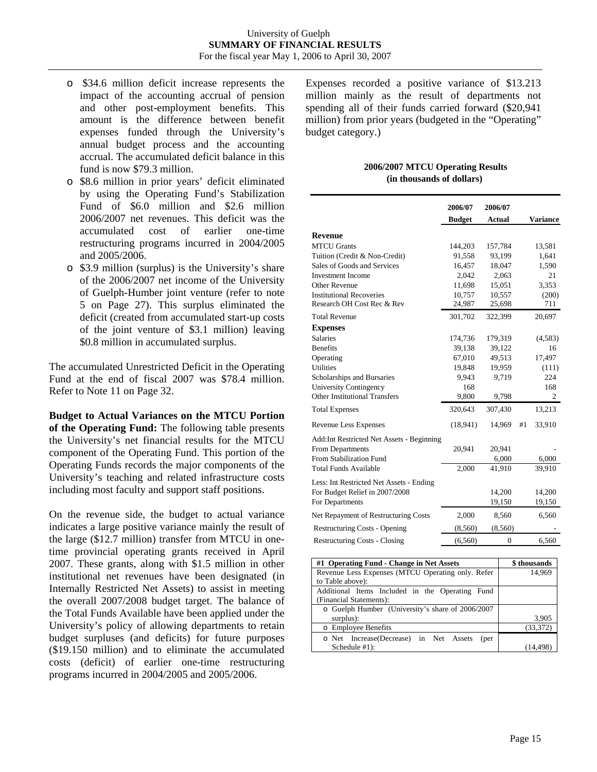- o \$34.6 million deficit increase represents the impact of the accounting accrual of pension and other post-employment benefits. This amount is the difference between benefit expenses funded through the University's annual budget process and the accounting accrual. The accumulated deficit balance in this fund is now \$79.3 million.
- o \$8.6 million in prior years' deficit eliminated by using the Operating Fund's Stabilization Fund of \$6.0 million and \$2.6 million 2006/2007 net revenues. This deficit was the accumulated cost of earlier one-time restructuring programs incurred in 2004/2005 and 2005/2006.
- o \$3.9 million (surplus) is the University's share of the 2006/2007 net income of the University of Guelph-Humber joint venture (refer to note 5 on Page 27). This surplus eliminated the deficit (created from accumulated start-up costs of the joint venture of \$3.1 million) leaving \$0.8 million in accumulated surplus.

The accumulated Unrestricted Deficit in the Operating Fund at the end of fiscal 2007 was \$78.4 million. Refer to Note 11 on Page 32.

**Budget to Actual Variances on the MTCU Portion of the Operating Fund:** The following table presents the University's net financial results for the MTCU component of the Operating Fund. This portion of the Operating Funds records the major components of the University's teaching and related infrastructure costs including most faculty and support staff positions.

On the revenue side, the budget to actual variance indicates a large positive variance mainly the result of the large (\$12.7 million) transfer from MTCU in onetime provincial operating grants received in April 2007. These grants, along with \$1.5 million in other institutional net revenues have been designated (in Internally Restricted Net Assets) to assist in meeting the overall 2007/2008 budget target. The balance of the Total Funds Available have been applied under the University's policy of allowing departments to retain budget surpluses (and deficits) for future purposes (\$19.150 million) and to eliminate the accumulated costs (deficit) of earlier one-time restructuring programs incurred in 2004/2005 and 2005/2006.

Expenses recorded a positive variance of \$13.213 million mainly as the result of departments not spending all of their funds carried forward (\$20,941 million) from prior years (budgeted in the "Operating" budget category.)

#### **2006/2007 MTCU Operating Results (in thousands of dollars)**

|                                            | 2006/07       | 2006/07        |    |                 |
|--------------------------------------------|---------------|----------------|----|-----------------|
|                                            | <b>Budget</b> | <b>Actual</b>  |    | <b>Variance</b> |
| <b>Revenue</b>                             |               |                |    |                 |
| <b>MTCU</b> Grants                         | 144,203       | 157,784        |    | 13,581          |
| Tuition (Credit & Non-Credit)              | 91,558        | 93,199         |    | 1,641           |
| Sales of Goods and Services                | 16,457        | 18,047         |    | 1,590           |
| <b>Investment Income</b>                   | 2,042         | 2,063          |    | 21              |
| Other Revenue                              | 11,698        | 15,051         |    | 3.353           |
| <b>Institutional Recoveries</b>            | 10,757        | 10,557         |    | (200)           |
| Research OH Cost Rec & Rev                 | 24,987        | 25,698         |    | 711             |
| <b>Total Revenue</b>                       | 301,702       | 322,399        |    | 20,697          |
| <b>Expenses</b>                            |               |                |    |                 |
| <b>Salaries</b>                            | 174,736       | 179,319        |    | (4,583)         |
| <b>Benefits</b>                            | 39,138        | 39,122         |    | 16              |
| Operating                                  | 67,010        | 49,513         |    | 17,497          |
| <b>Utilities</b>                           | 19,848        | 19,959         |    | (111)           |
| Scholarships and Bursaries                 | 9,943         | 9,719          |    | 224             |
| University Contingency                     | 168           |                |    | 168             |
| <b>Other Institutional Transfers</b>       | 9,800         | 9,798          |    | 2               |
| <b>Total Expenses</b>                      | 320,643       | 307,430        |    | 13,213          |
| Revenue Less Expenses                      | (18, 941)     | 14,969         | #1 | 33,910          |
| Add: Int Restricted Net Assets - Beginning |               |                |    |                 |
| <b>From Departments</b>                    | 20.941        | 20,941         |    |                 |
| From Stabilization Fund                    |               | 6,000          |    | 6,000           |
| <b>Total Funds Available</b>               | 2,000         | 41,910         |    | 39,910          |
| Less: Int Restricted Net Assets - Ending   |               |                |    |                 |
| For Budget Relief in 2007/2008             |               | 14,200         |    | 14,200          |
| For Departments                            |               | 19,150         |    | 19,150          |
| Net Repayment of Restructuring Costs       | 2,000         | 8,560          |    | 6,560           |
| <b>Restructuring Costs - Opening</b>       | (8,560)       | (8,560)        |    |                 |
| <b>Restructuring Costs - Closing</b>       | (6,560)       | $\overline{0}$ |    | 6,560           |

| #1 Operating Fund - Change in Net Assets          | \$ thousands |
|---------------------------------------------------|--------------|
| Revenue Less Expenses (MTCU Operating only. Refer | 14.969       |
| to Table above):                                  |              |
| Additional Items Included in the Operating Fund   |              |
| (Financial Statements):                           |              |
| o Guelph Humber (University's share of 2006/2007  |              |
| surplus):                                         | 3,905        |
| o Employee Benefits                               | (33, 372)    |
| o Net Increase(Decrease) in Net Assets<br>(per    |              |
| Schedule #1):                                     |              |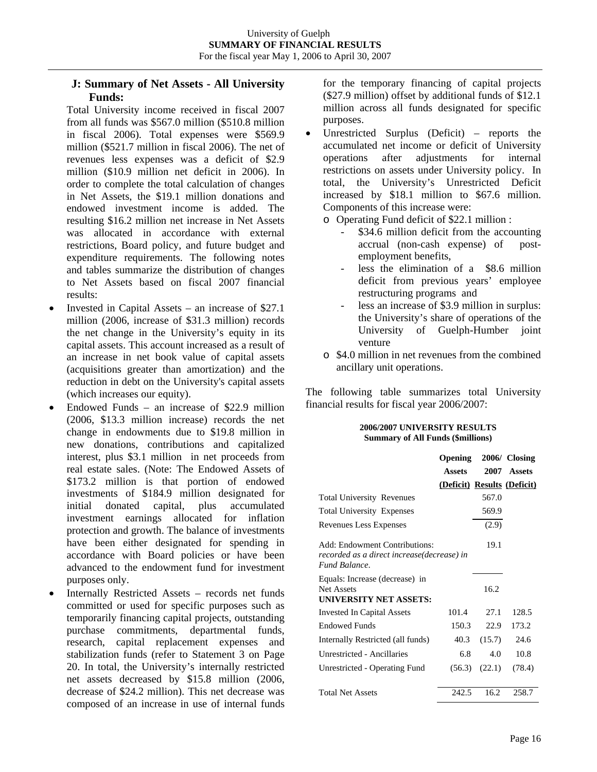# **J: Summary of Net Assets - All University Funds:**

Total University income received in fiscal 2007 from all funds was \$567.0 million (\$510.8 million in fiscal 2006). Total expenses were \$569.9 million (\$521.7 million in fiscal 2006). The net of revenues less expenses was a deficit of \$2.9 million (\$10.9 million net deficit in 2006). In order to complete the total calculation of changes in Net Assets, the \$19.1 million donations and endowed investment income is added. The resulting \$16.2 million net increase in Net Assets was allocated in accordance with external restrictions, Board policy, and future budget and expenditure requirements. The following notes and tables summarize the distribution of changes to Net Assets based on fiscal 2007 financial results:

- Invested in Capital Assets an increase of  $$27.1$ million (2006, increase of \$31.3 million) records the net change in the University's equity in its capital assets. This account increased as a result of an increase in net book value of capital assets (acquisitions greater than amortization) and the reduction in debt on the University's capital assets (which increases our equity).
- Endowed Funds an increase of  $$22.9$  million (2006, \$13.3 million increase) records the net change in endowments due to \$19.8 million in new donations, contributions and capitalized interest, plus \$3.1 million in net proceeds from real estate sales. (Note: The Endowed Assets of \$173.2 million is that portion of endowed investments of \$184.9 million designated for initial donated capital, plus accumulated investment earnings allocated for inflation protection and growth. The balance of investments have been either designated for spending in accordance with Board policies or have been advanced to the endowment fund for investment purposes only.
- Internally Restricted Assets records net funds committed or used for specific purposes such as temporarily financing capital projects, outstanding purchase commitments, departmental funds, research, capital replacement expenses and stabilization funds (refer to Statement 3 on Page 20. In total, the University's internally restricted net assets decreased by \$15.8 million (2006, decrease of \$24.2 million). This net decrease was composed of an increase in use of internal funds

for the temporary financing of capital projects (\$27.9 million) offset by additional funds of \$12.1 million across all funds designated for specific purposes.

• Unrestricted Surplus (Deficit) – reports the accumulated net income or deficit of University operations after adjustments for internal restrictions on assets under University policy. In total, the University's Unrestricted Deficit increased by \$18.1 million to \$67.6 million. Components of this increase were:

o Operating Fund deficit of \$22.1 million :

- \$34.6 million deficit from the accounting accrual (non-cash expense) of postemployment benefits,
- less the elimination of a \$8.6 million deficit from previous years' employee restructuring programs and
- less an increase of \$3.9 million in surplus: the University's share of operations of the University of Guelph-Humber joint venture
- o \$4.0 million in net revenues from the combined ancillary unit operations.

The following table summarizes total University financial results for fiscal year 2006/2007:

#### **2006/2007 UNIVERSITY RESULTS Summary of All Funds (\$millions)**

|                                                                                              | Opening 2006/ Closing       |        |             |
|----------------------------------------------------------------------------------------------|-----------------------------|--------|-------------|
|                                                                                              | <b>Assets</b>               |        | 2007 Assets |
|                                                                                              | (Deficit) Results (Deficit) |        |             |
| <b>Total University Revenues</b>                                                             |                             | 567.0  |             |
| <b>Total University Expenses</b>                                                             |                             | 569.9  |             |
| Revenues Less Expenses                                                                       |                             | (2.9)  |             |
| Add: Endowment Contributions:<br>recorded as a direct increase(decrease) in<br>Fund Balance. |                             | 19.1   |             |
| Equals: Increase (decrease) in<br>Net Assets<br><b>UNIVERSITY NET ASSETS:</b>                |                             | 16.2   |             |
| <b>Invested In Capital Assets</b>                                                            | 101.4                       | 27.1   | 128.5       |
| <b>Endowed Funds</b>                                                                         | 150.3                       | 22.9   | 173.2       |
| Internally Restricted (all funds)                                                            | 40.3                        | (15.7) | 24.6        |
| Unrestricted - Ancillaries                                                                   | 6.8                         | 4.0    | 10.8        |
| Unrestricted - Operating Fund                                                                | (56.3)                      | (22.1) | (78.4)      |
| <b>Total Net Assets</b>                                                                      | 242.5                       | 16.2   | 258.7       |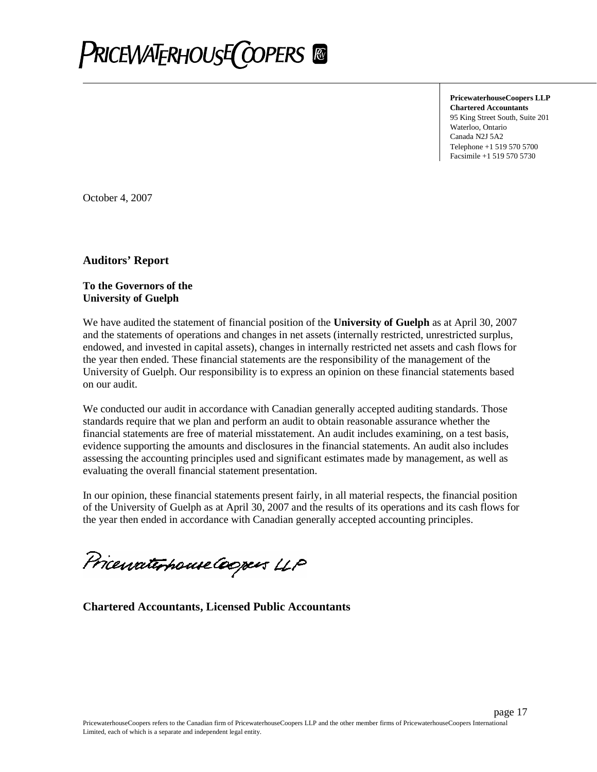

**PricewaterhouseCoopers LLP Chartered Accountants** 95 King Street South, Suite 201 Waterloo, Ontario Canada N2J 5A2 Telephone +1 519 570 5700 Facsimile +1 519 570 5730

page 17

October 4, 2007

**Auditors' Report**

## **To the Governors of the University of Guelph**

We have audited the statement of financial position of the **University of Guelph** as at April 30, 2007 and the statements of operations and changes in net assets (internally restricted, unrestricted surplus, endowed, and invested in capital assets), changes in internally restricted net assets and cash flows for the year then ended. These financial statements are the responsibility of the management of the University of Guelph. Our responsibility is to express an opinion on these financial statements based on our audit.

We conducted our audit in accordance with Canadian generally accepted auditing standards. Those standards require that we plan and perform an audit to obtain reasonable assurance whether the financial statements are free of material misstatement. An audit includes examining, on a test basis, evidence supporting the amounts and disclosures in the financial statements. An audit also includes assessing the accounting principles used and significant estimates made by management, as well as evaluating the overall financial statement presentation.

In our opinion, these financial statements present fairly, in all material respects, the financial position of the University of Guelph as at April 30, 2007 and the results of its operations and its cash flows for the year then ended in accordance with Canadian generally accepted accounting principles.

PricewaterhouseCoopers LLP

**Chartered Accountants, Licensed Public Accountants**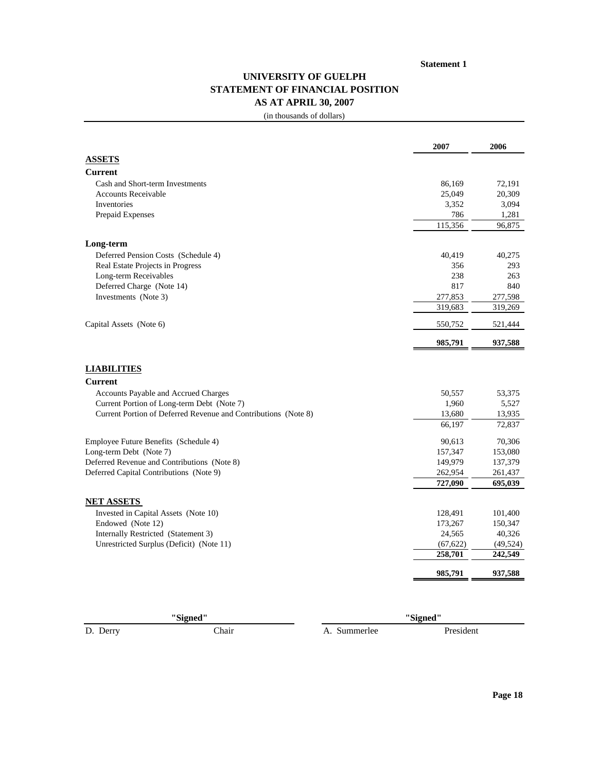# **UNIVERSITY OF GUELPH STATEMENT OF FINANCIAL POSITION AS AT APRIL 30, 2007**

(in thousands of dollars)

|                                                                | 2007      | 2006      |
|----------------------------------------------------------------|-----------|-----------|
| <b>ASSETS</b>                                                  |           |           |
| <b>Current</b>                                                 |           |           |
| Cash and Short-term Investments                                | 86,169    | 72,191    |
| <b>Accounts Receivable</b>                                     | 25,049    | 20,309    |
| Inventories                                                    | 3,352     | 3,094     |
| Prepaid Expenses                                               | 786       | 1,281     |
|                                                                | 115,356   | 96,875    |
| Long-term                                                      |           |           |
| Deferred Pension Costs (Schedule 4)                            | 40,419    | 40,275    |
| Real Estate Projects in Progress                               | 356       | 293       |
| Long-term Receivables                                          | 238       | 263       |
| Deferred Charge (Note 14)                                      | 817       | 840       |
| Investments (Note 3)                                           | 277,853   | 277,598   |
|                                                                | 319,683   | 319,269   |
| Capital Assets (Note 6)                                        | 550,752   | 521,444   |
|                                                                | 985,791   | 937,588   |
| <b>LIABILITIES</b><br><b>Current</b>                           |           |           |
| Accounts Payable and Accrued Charges                           | 50,557    | 53,375    |
| Current Portion of Long-term Debt (Note 7)                     | 1,960     | 5,527     |
| Current Portion of Deferred Revenue and Contributions (Note 8) | 13,680    | 13,935    |
|                                                                | 66,197    | 72,837    |
| Employee Future Benefits (Schedule 4)                          | 90,613    | 70,306    |
| Long-term Debt (Note 7)                                        | 157,347   | 153,080   |
| Deferred Revenue and Contributions (Note 8)                    | 149,979   | 137,379   |
| Deferred Capital Contributions (Note 9)                        | 262,954   | 261,437   |
|                                                                | 727,090   | 695,039   |
| <b>NET ASSETS</b>                                              |           |           |
| Invested in Capital Assets (Note 10)                           | 128,491   | 101,400   |
|                                                                |           | 150,347   |
| Endowed (Note 12)                                              | 173,267   |           |
| Internally Restricted (Statement 3)                            | 24,565    | 40,326    |
| Unrestricted Surplus (Deficit) (Note 11)                       | (67, 622) | (49, 524) |
|                                                                | 258,701   | 242,549   |

**"Signed"**

D. Derry Chair Chair A. Summerlee President

**"Signed"**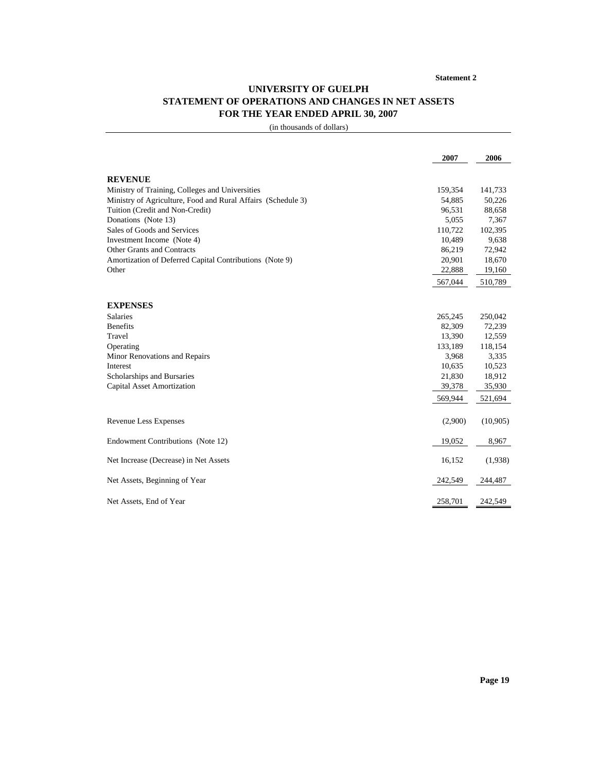# **UNIVERSITY OF GUELPH STATEMENT OF OPERATIONS AND CHANGES IN NET ASSETS FOR THE YEAR ENDED APRIL 30, 2007**

(in thousands of dollars)

| <b>REVENUE</b><br>Ministry of Training, Colleges and Universities<br>159,354<br>Ministry of Agriculture, Food and Rural Affairs (Schedule 3)<br>54,885<br>Tuition (Credit and Non-Credit)<br>96,531<br>Donations (Note 13)<br>5,055<br>Sales of Goods and Services<br>110,722<br>10.489<br>Investment Income (Note 4)<br>Other Grants and Contracts<br>86,219<br>20,901<br>Amortization of Deferred Capital Contributions (Note 9)<br>22,888<br>Other<br>567,044 | 141,733<br>50,226<br>88,658<br>7,367<br>102,395<br>9,638<br>72,942<br>18,670<br>19,160 |
|------------------------------------------------------------------------------------------------------------------------------------------------------------------------------------------------------------------------------------------------------------------------------------------------------------------------------------------------------------------------------------------------------------------------------------------------------------------|----------------------------------------------------------------------------------------|
|                                                                                                                                                                                                                                                                                                                                                                                                                                                                  |                                                                                        |
|                                                                                                                                                                                                                                                                                                                                                                                                                                                                  |                                                                                        |
|                                                                                                                                                                                                                                                                                                                                                                                                                                                                  |                                                                                        |
|                                                                                                                                                                                                                                                                                                                                                                                                                                                                  |                                                                                        |
|                                                                                                                                                                                                                                                                                                                                                                                                                                                                  |                                                                                        |
|                                                                                                                                                                                                                                                                                                                                                                                                                                                                  |                                                                                        |
|                                                                                                                                                                                                                                                                                                                                                                                                                                                                  |                                                                                        |
|                                                                                                                                                                                                                                                                                                                                                                                                                                                                  |                                                                                        |
|                                                                                                                                                                                                                                                                                                                                                                                                                                                                  |                                                                                        |
|                                                                                                                                                                                                                                                                                                                                                                                                                                                                  |                                                                                        |
|                                                                                                                                                                                                                                                                                                                                                                                                                                                                  | 510,789                                                                                |
|                                                                                                                                                                                                                                                                                                                                                                                                                                                                  |                                                                                        |
| <b>EXPENSES</b>                                                                                                                                                                                                                                                                                                                                                                                                                                                  |                                                                                        |
| <b>Salaries</b><br>265,245                                                                                                                                                                                                                                                                                                                                                                                                                                       | 250,042                                                                                |
| 82,309<br><b>Benefits</b>                                                                                                                                                                                                                                                                                                                                                                                                                                        | 72,239                                                                                 |
| 13,390<br>Travel                                                                                                                                                                                                                                                                                                                                                                                                                                                 | 12,559                                                                                 |
| 133,189<br>Operating                                                                                                                                                                                                                                                                                                                                                                                                                                             | 118,154                                                                                |
| 3,968<br>Minor Renovations and Repairs                                                                                                                                                                                                                                                                                                                                                                                                                           | 3.335                                                                                  |
| 10,635<br>Interest                                                                                                                                                                                                                                                                                                                                                                                                                                               | 10,523                                                                                 |
| Scholarships and Bursaries<br>21,830                                                                                                                                                                                                                                                                                                                                                                                                                             | 18,912                                                                                 |
| <b>Capital Asset Amortization</b><br>39,378                                                                                                                                                                                                                                                                                                                                                                                                                      | 35,930                                                                                 |
| 569,944                                                                                                                                                                                                                                                                                                                                                                                                                                                          | 521,694                                                                                |
|                                                                                                                                                                                                                                                                                                                                                                                                                                                                  |                                                                                        |
| <b>Revenue Less Expenses</b><br>(2,900)                                                                                                                                                                                                                                                                                                                                                                                                                          | (10,905)                                                                               |
| Endowment Contributions (Note 12)<br>19,052                                                                                                                                                                                                                                                                                                                                                                                                                      | 8,967                                                                                  |
|                                                                                                                                                                                                                                                                                                                                                                                                                                                                  |                                                                                        |
| Net Increase (Decrease) in Net Assets<br>16,152                                                                                                                                                                                                                                                                                                                                                                                                                  | (1,938)                                                                                |
| Net Assets, Beginning of Year<br>242,549                                                                                                                                                                                                                                                                                                                                                                                                                         | 244,487                                                                                |
| Net Assets, End of Year<br>258,701                                                                                                                                                                                                                                                                                                                                                                                                                               | 242,549                                                                                |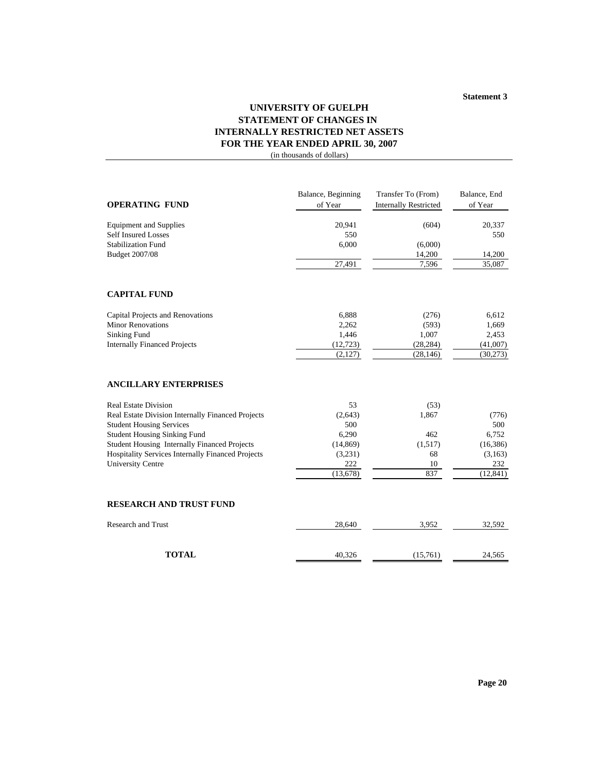# **UNIVERSITY OF GUELPH STATEMENT OF CHANGES IN INTERNALLY RESTRICTED NET ASSETS FOR THE YEAR ENDED APRIL 30, 2007**

(in thousands of dollars)

| <b>OPERATING FUND</b>                                    | Balance, Beginning<br>of Year | Transfer To (From)<br><b>Internally Restricted</b> | Balance, End<br>of Year |
|----------------------------------------------------------|-------------------------------|----------------------------------------------------|-------------------------|
| <b>Equipment and Supplies</b>                            | 20,941                        | (604)                                              | 20,337                  |
| <b>Self Insured Losses</b>                               | 550                           |                                                    | 550                     |
| <b>Stabilization Fund</b>                                | 6,000                         | (6,000)                                            |                         |
| Budget 2007/08                                           |                               | 14,200                                             | 14,200                  |
|                                                          | 27,491                        | 7,596                                              | 35,087                  |
| <b>CAPITAL FUND</b>                                      |                               |                                                    |                         |
| Capital Projects and Renovations                         | 6,888                         | (276)                                              | 6,612                   |
| <b>Minor Renovations</b>                                 | 2,262                         | (593)                                              | 1,669                   |
| <b>Sinking Fund</b>                                      | 1,446                         | 1,007                                              | 2,453                   |
| <b>Internally Financed Projects</b>                      | (12, 723)                     | (28, 284)                                          | (41,007)                |
|                                                          | (2,127)                       | (28, 146)                                          | (30,273)                |
| <b>ANCILLARY ENTERPRISES</b>                             |                               |                                                    |                         |
| <b>Real Estate Division</b>                              | 53                            | (53)                                               |                         |
| Real Estate Division Internally Financed Projects        | (2,643)                       | 1,867                                              | (776)                   |
| <b>Student Housing Services</b>                          | 500                           |                                                    | 500                     |
| <b>Student Housing Sinking Fund</b>                      | 6,290                         | 462                                                | 6,752                   |
| Student Housing Internally Financed Projects             | (14, 869)                     | (1,517)                                            | (16, 386)               |
| <b>Hospitality Services Internally Financed Projects</b> | (3,231)                       | 68                                                 | (3,163)                 |
| <b>University Centre</b>                                 | 222                           | 10<br>837                                          | 232                     |
|                                                          | (13,678)                      |                                                    | (12, 841)               |
| <b>RESEARCH AND TRUST FUND</b>                           |                               |                                                    |                         |
| <b>Research and Trust</b>                                | 28,640                        | 3,952                                              | 32,592                  |
| <b>TOTAL</b>                                             | 40,326                        | (15,761)                                           | 24,565                  |
|                                                          |                               |                                                    |                         |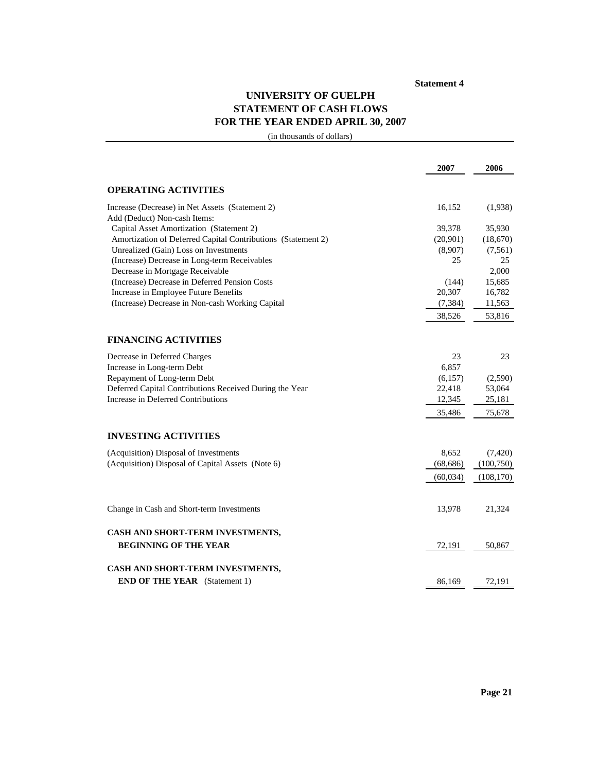# **UNIVERSITY OF GUELPH STATEMENT OF CASH FLOWS FOR THE YEAR ENDED APRIL 30, 2007**

(in thousands of dollars)

|                                                                                 | 2007             | 2006       |
|---------------------------------------------------------------------------------|------------------|------------|
| <b>OPERATING ACTIVITIES</b>                                                     |                  |            |
| Increase (Decrease) in Net Assets (Statement 2)<br>Add (Deduct) Non-cash Items: | 16,152           | (1,938)    |
| Capital Asset Amortization (Statement 2)                                        | 39,378           | 35,930     |
| Amortization of Deferred Capital Contributions (Statement 2)                    | (20,901)         | (18,670)   |
| Unrealized (Gain) Loss on Investments                                           | (8,907)          | (7, 561)   |
| (Increase) Decrease in Long-term Receivables                                    | 25               | 25         |
| Decrease in Mortgage Receivable                                                 |                  | 2,000      |
| (Increase) Decrease in Deferred Pension Costs                                   | (144)            | 15,685     |
| Increase in Employee Future Benefits                                            | 20,307           | 16,782     |
| (Increase) Decrease in Non-cash Working Capital                                 | (7, 384)         | 11,563     |
|                                                                                 | 38,526           | 53,816     |
| <b>FINANCING ACTIVITIES</b>                                                     |                  |            |
|                                                                                 |                  |            |
| Decrease in Deferred Charges                                                    | 23               | 23         |
| Increase in Long-term Debt<br>Repayment of Long-term Debt                       | 6,857<br>(6,157) | (2,590)    |
| Deferred Capital Contributions Received During the Year                         | 22,418           | 53,064     |
| Increase in Deferred Contributions                                              | 12,345           | 25,181     |
|                                                                                 | 35,486           | 75,678     |
| <b>INVESTING ACTIVITIES</b>                                                     |                  |            |
|                                                                                 |                  |            |
| (Acquisition) Disposal of Investments                                           | 8,652            | (7,420)    |
| (Acquisition) Disposal of Capital Assets (Note 6)                               | (68, 686)        | (100, 750) |
|                                                                                 | (60, 034)        | (108, 170) |
| Change in Cash and Short-term Investments                                       | 13,978           | 21,324     |
| CASH AND SHORT-TERM INVESTMENTS,                                                |                  |            |
| <b>BEGINNING OF THE YEAR</b>                                                    | 72,191           | 50,867     |
| CASH AND SHORT-TERM INVESTMENTS,                                                |                  |            |
| <b>END OF THE YEAR</b> (Statement 1)                                            | 86,169           | 72,191     |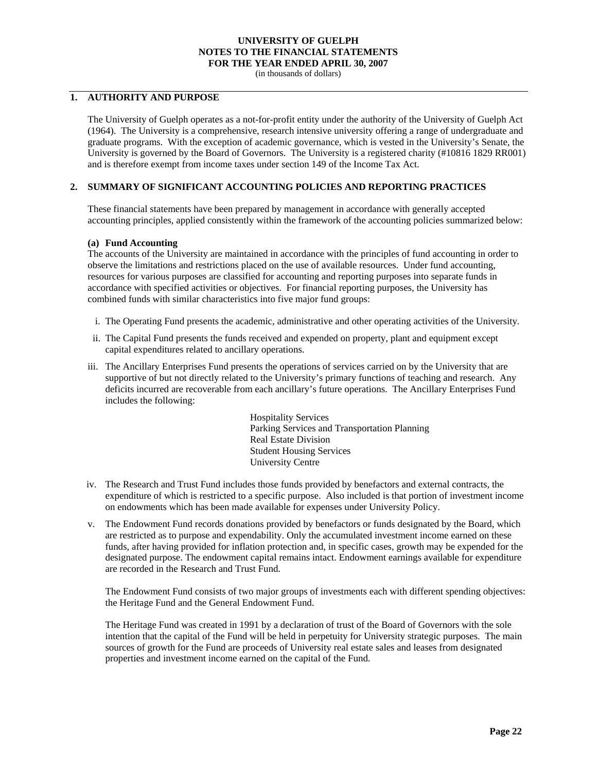(in thousands of dollars)

# **1. AUTHORITY AND PURPOSE**

The University of Guelph operates as a not-for-profit entity under the authority of the University of Guelph Act (1964). The University is a comprehensive, research intensive university offering a range of undergraduate and graduate programs. With the exception of academic governance, which is vested in the University's Senate, the University is governed by the Board of Governors. The University is a registered charity (#10816 1829 RR001) and is therefore exempt from income taxes under section 149 of the Income Tax Act.

### **2. SUMMARY OF SIGNIFICANT ACCOUNTING POLICIES AND REPORTING PRACTICES**

These financial statements have been prepared by management in accordance with generally accepted accounting principles, applied consistently within the framework of the accounting policies summarized below:

#### **(a) Fund Accounting**

The accounts of the University are maintained in accordance with the principles of fund accounting in order to observe the limitations and restrictions placed on the use of available resources. Under fund accounting, resources for various purposes are classified for accounting and reporting purposes into separate funds in accordance with specified activities or objectives. For financial reporting purposes, the University has combined funds with similar characteristics into five major fund groups:

- i. The Operating Fund presents the academic, administrative and other operating activities of the University.
- ii. The Capital Fund presents the funds received and expended on property, plant and equipment except capital expenditures related to ancillary operations.
- iii. The Ancillary Enterprises Fund presents the operations of services carried on by the University that are supportive of but not directly related to the University's primary functions of teaching and research. Any deficits incurred are recoverable from each ancillary's future operations. The Ancillary Enterprises Fund includes the following:

Hospitality Services Parking Services and Transportation Planning Real Estate Division Student Housing Services University Centre

- iv. The Research and Trust Fund includes those funds provided by benefactors and external contracts, the expenditure of which is restricted to a specific purpose. Also included is that portion of investment income on endowments which has been made available for expenses under University Policy.
- v. The Endowment Fund records donations provided by benefactors or funds designated by the Board, which are restricted as to purpose and expendability. Only the accumulated investment income earned on these funds, after having provided for inflation protection and, in specific cases, growth may be expended for the designated purpose. The endowment capital remains intact. Endowment earnings available for expenditure are recorded in the Research and Trust Fund.

The Endowment Fund consists of two major groups of investments each with different spending objectives: the Heritage Fund and the General Endowment Fund.

The Heritage Fund was created in 1991 by a declaration of trust of the Board of Governors with the sole intention that the capital of the Fund will be held in perpetuity for University strategic purposes. The main sources of growth for the Fund are proceeds of University real estate sales and leases from designated properties and investment income earned on the capital of the Fund.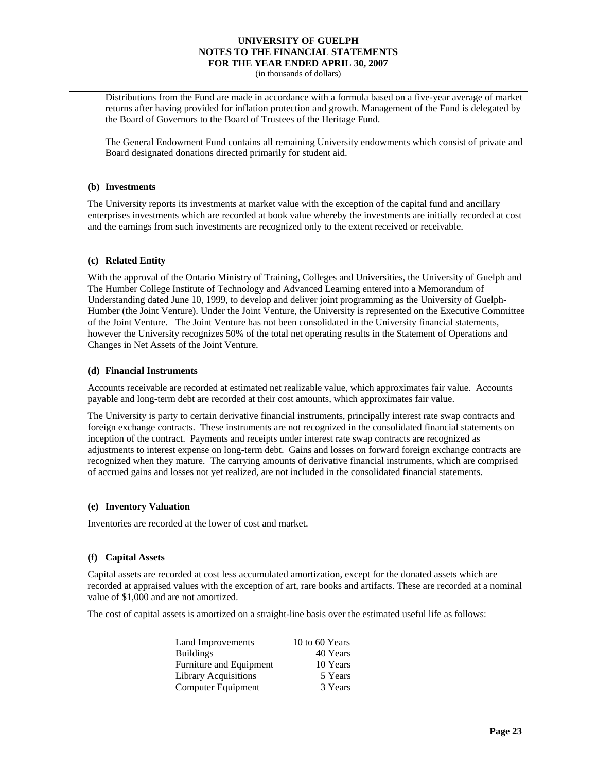(in thousands of dollars)

Distributions from the Fund are made in accordance with a formula based on a five-year average of market returns after having provided for inflation protection and growth. Management of the Fund is delegated by the Board of Governors to the Board of Trustees of the Heritage Fund.

The General Endowment Fund contains all remaining University endowments which consist of private and Board designated donations directed primarily for student aid.

#### **(b) Investments**

The University reports its investments at market value with the exception of the capital fund and ancillary enterprises investments which are recorded at book value whereby the investments are initially recorded at cost and the earnings from such investments are recognized only to the extent received or receivable.

#### **(c) Related Entity**

With the approval of the Ontario Ministry of Training, Colleges and Universities, the University of Guelph and The Humber College Institute of Technology and Advanced Learning entered into a Memorandum of Understanding dated June 10, 1999, to develop and deliver joint programming as the University of Guelph-Humber (the Joint Venture). Under the Joint Venture, the University is represented on the Executive Committee of the Joint Venture. The Joint Venture has not been consolidated in the University financial statements, however the University recognizes 50% of the total net operating results in the Statement of Operations and Changes in Net Assets of the Joint Venture.

#### **(d) Financial Instruments**

Accounts receivable are recorded at estimated net realizable value, which approximates fair value. Accounts payable and long-term debt are recorded at their cost amounts, which approximates fair value.

The University is party to certain derivative financial instruments, principally interest rate swap contracts and foreign exchange contracts. These instruments are not recognized in the consolidated financial statements on inception of the contract. Payments and receipts under interest rate swap contracts are recognized as adjustments to interest expense on long-term debt. Gains and losses on forward foreign exchange contracts are recognized when they mature. The carrying amounts of derivative financial instruments, which are comprised of accrued gains and losses not yet realized, are not included in the consolidated financial statements.

#### **(e) Inventory Valuation**

Inventories are recorded at the lower of cost and market.

#### **(f) Capital Assets**

Capital assets are recorded at cost less accumulated amortization, except for the donated assets which are recorded at appraised values with the exception of art, rare books and artifacts. These are recorded at a nominal value of \$1,000 and are not amortized.

The cost of capital assets is amortized on a straight-line basis over the estimated useful life as follows:

| Land Improvements         | 10 to 60 Years |
|---------------------------|----------------|
| <b>Buildings</b>          | 40 Years       |
| Furniture and Equipment   | 10 Years       |
| Library Acquisitions      | 5 Years        |
| <b>Computer Equipment</b> | 3 Years        |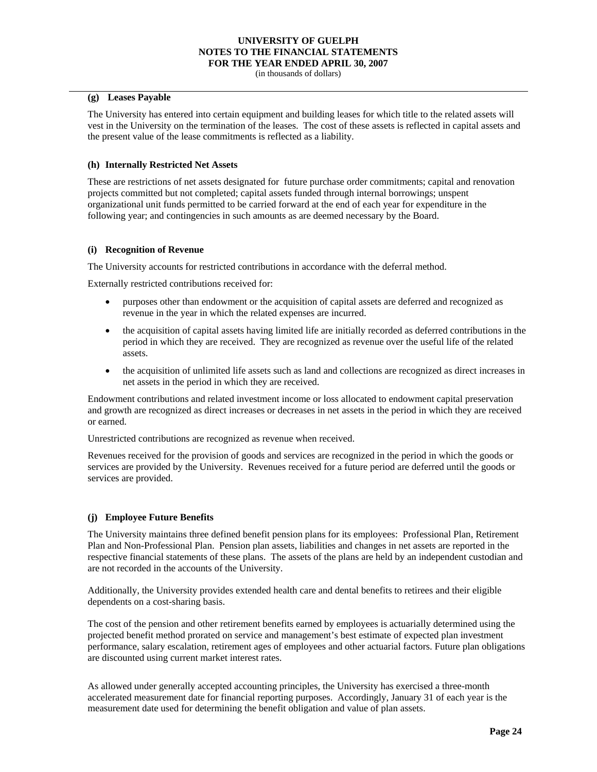(in thousands of dollars)

#### **(g) Leases Payable**

The University has entered into certain equipment and building leases for which title to the related assets will vest in the University on the termination of the leases. The cost of these assets is reflected in capital assets and the present value of the lease commitments is reflected as a liability.

### **(h) Internally Restricted Net Assets**

These are restrictions of net assets designated for future purchase order commitments; capital and renovation projects committed but not completed; capital assets funded through internal borrowings; unspent organizational unit funds permitted to be carried forward at the end of each year for expenditure in the following year; and contingencies in such amounts as are deemed necessary by the Board.

#### **(i) Recognition of Revenue**

The University accounts for restricted contributions in accordance with the deferral method.

Externally restricted contributions received for:

- purposes other than endowment or the acquisition of capital assets are deferred and recognized as revenue in the year in which the related expenses are incurred.
- the acquisition of capital assets having limited life are initially recorded as deferred contributions in the period in which they are received. They are recognized as revenue over the useful life of the related assets.
- the acquisition of unlimited life assets such as land and collections are recognized as direct increases in net assets in the period in which they are received.

Endowment contributions and related investment income or loss allocated to endowment capital preservation and growth are recognized as direct increases or decreases in net assets in the period in which they are received or earned.

Unrestricted contributions are recognized as revenue when received.

Revenues received for the provision of goods and services are recognized in the period in which the goods or services are provided by the University. Revenues received for a future period are deferred until the goods or services are provided.

### **(j) Employee Future Benefits**

The University maintains three defined benefit pension plans for its employees: Professional Plan, Retirement Plan and Non-Professional Plan. Pension plan assets, liabilities and changes in net assets are reported in the respective financial statements of these plans. The assets of the plans are held by an independent custodian and are not recorded in the accounts of the University.

Additionally, the University provides extended health care and dental benefits to retirees and their eligible dependents on a cost-sharing basis.

The cost of the pension and other retirement benefits earned by employees is actuarially determined using the projected benefit method prorated on service and management's best estimate of expected plan investment performance, salary escalation, retirement ages of employees and other actuarial factors. Future plan obligations are discounted using current market interest rates.

As allowed under generally accepted accounting principles, the University has exercised a three-month accelerated measurement date for financial reporting purposes. Accordingly, January 31 of each year is the measurement date used for determining the benefit obligation and value of plan assets.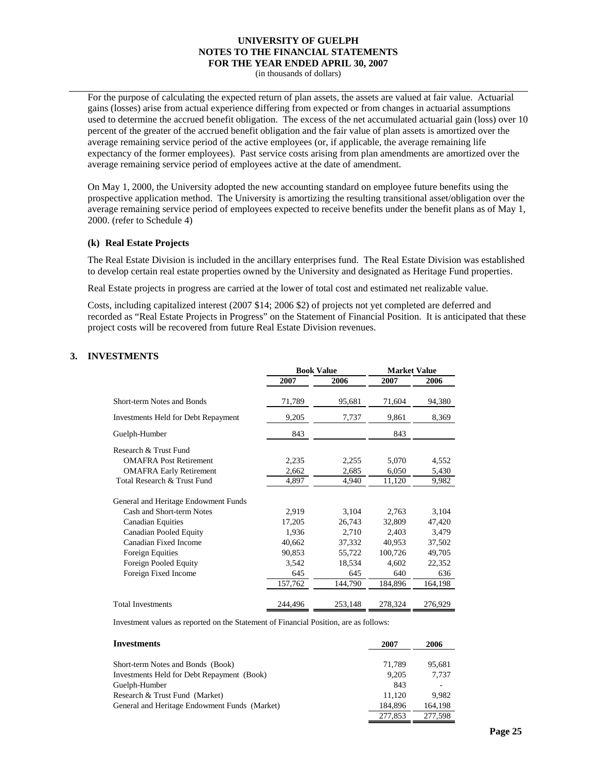(in thousands of dollars)

For the purpose of calculating the expected return of plan assets, the assets are valued at fair value. Actuarial gains (losses) arise from actual experience differing from expected or from changes in actuarial assumptions used to determine the accrued benefit obligation. The excess of the net accumulated actuarial gain (loss) over 10 percent of the greater of the accrued benefit obligation and the fair value of plan assets is amortized over the average remaining service period of the active employees (or, if applicable, the average remaining life expectancy of the former employees). Past service costs arising from plan amendments are amortized over the average remaining service period of employees active at the date of amendment.

On May 1, 2000, the University adopted the new accounting standard on employee future benefits using the prospective application method. The University is amortizing the resulting transitional asset/obligation over the average remaining service period of employees expected to receive benefits under the benefit plans as of May 1, 2000. (refer to Schedule 4)

#### **(k) Real Estate Projects**

The Real Estate Division is included in the ancillary enterprises fund. The Real Estate Division was established to develop certain real estate properties owned by the University and designated as Heritage Fund properties.

Real Estate projects in progress are carried at the lower of total cost and estimated net realizable value.

Costs, including capitalized interest (2007 \$14; 2006 \$2) of projects not yet completed are deferred and recorded as "Real Estate Projects in Progress" on the Statement of Financial Position. It is anticipated that these project costs will be recovered from future Real Estate Division revenues.

## **3. INVESTMENTS**

|                                            | <b>Book Value</b> |         | <b>Market Value</b> |         |  |
|--------------------------------------------|-------------------|---------|---------------------|---------|--|
|                                            | 2007              | 2006    | 2007                | 2006    |  |
| Short-term Notes and Bonds                 | 71,789            | 95,681  | 71,604              | 94,380  |  |
| <b>Investments Held for Debt Repayment</b> | 9,205             | 7,737   | 9,861               | 8,369   |  |
| Guelph-Humber                              | 843               |         | 843                 |         |  |
| Research & Trust Fund                      |                   |         |                     |         |  |
| <b>OMAFRA Post Retirement</b>              | 2,235             | 2,255   | 5,070               | 4,552   |  |
| <b>OMAFRA Early Retirement</b>             | 2,662             | 2,685   | 6,050               | 5,430   |  |
| Total Research & Trust Fund                | 4,897             | 4,940   | 11,120              | 9,982   |  |
| General and Heritage Endowment Funds       |                   |         |                     |         |  |
| Cash and Short-term Notes                  | 2,919             | 3,104   | 2,763               | 3,104   |  |
| <b>Canadian Equities</b>                   | 17,205            | 26,743  | 32,809              | 47,420  |  |
| <b>Canadian Pooled Equity</b>              | 1,936             | 2,710   | 2,403               | 3,479   |  |
| Canadian Fixed Income                      | 40,662            | 37,332  | 40,953              | 37,502  |  |
| <b>Foreign Equities</b>                    | 90,853            | 55,722  | 100,726             | 49,705  |  |
| Foreign Pooled Equity                      | 3,542             | 18,534  | 4,602               | 22,352  |  |
| Foreign Fixed Income                       | 645               | 645     | 640                 | 636     |  |
|                                            | 157,762           | 144,790 | 184,896             | 164,198 |  |
| <b>Total Investments</b>                   | 244,496           | 253,148 | 278,324             | 276,929 |  |

Investment values as reported on the Statement of Financial Position, are as follows:

| Investments                                   | 2007    | 2006    |
|-----------------------------------------------|---------|---------|
| Short-term Notes and Bonds (Book)             | 71.789  | 95.681  |
| Investments Held for Debt Repayment (Book)    | 9.205   | 7.737   |
| Guelph-Humber                                 | 843     |         |
| Research & Trust Fund (Market)                | 11.120  | 9.982   |
| General and Heritage Endowment Funds (Market) | 184,896 | 164,198 |
|                                               | 277,853 | 277,598 |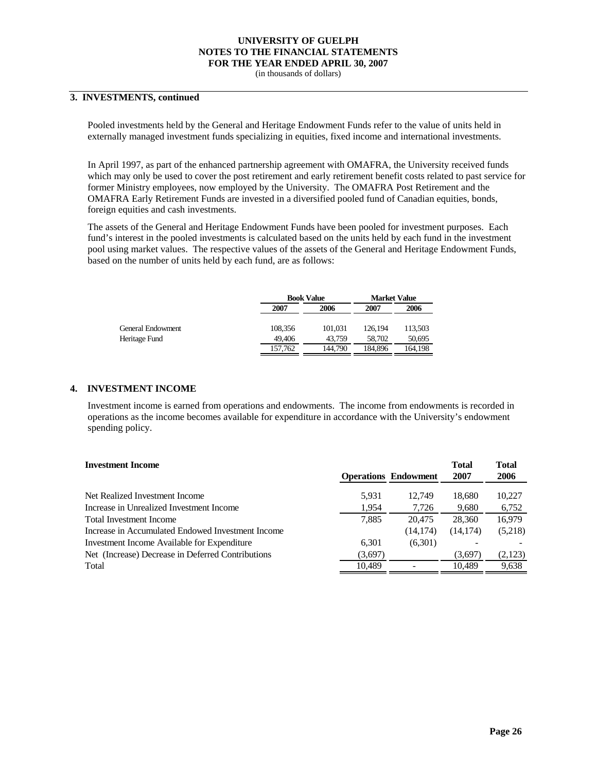(in thousands of dollars)

## **3. INVESTMENTS, continued**

Pooled investments held by the General and Heritage Endowment Funds refer to the value of units held in externally managed investment funds specializing in equities, fixed income and international investments.

In April 1997, as part of the enhanced partnership agreement with OMAFRA, the University received funds which may only be used to cover the post retirement and early retirement benefit costs related to past service for former Ministry employees, now employed by the University. The OMAFRA Post Retirement and the OMAFRA Early Retirement Funds are invested in a diversified pooled fund of Canadian equities, bonds, foreign equities and cash investments.

The assets of the General and Heritage Endowment Funds have been pooled for investment purposes. Each fund's interest in the pooled investments is calculated based on the units held by each fund in the investment pool using market values. The respective values of the assets of the General and Heritage Endowment Funds, based on the number of units held by each fund, are as follows:

|                   |         | <b>Book Value</b> |         | <b>Market Value</b> |
|-------------------|---------|-------------------|---------|---------------------|
|                   | 2007    | 2006              | 2007    | 2006                |
| General Endowment | 108.356 | 101.031           | 126.194 | 113.503             |
| Heritage Fund     | 49.406  | 43.759            | 58,702  | 50.695              |
|                   | 157.762 | 144.790           | 184.896 | 164.198             |

#### **4. INVESTMENT INCOME**

Investment income is earned from operations and endowments. The income from endowments is recorded in operations as the income becomes available for expenditure in accordance with the University's endowment spending policy.

| <b>Investment Income</b>                          |         |                             | <b>Total</b> | <b>Total</b> |
|---------------------------------------------------|---------|-----------------------------|--------------|--------------|
|                                                   |         | <b>Operations Endowment</b> | 2007         | 2006         |
| Net Realized Investment Income                    | 5.931   | 12.749                      | 18.680       | 10.227       |
| Increase in Unrealized Investment Income          | 1,954   | 7,726                       | 9,680        | 6,752        |
| Total Investment Income                           | 7.885   | 20,475                      | 28,360       | 16,979       |
| Increase in Accumulated Endowed Investment Income |         | (14, 174)                   | (14, 174)    | (5,218)      |
| Investment Income Available for Expenditure       | 6.301   | (6,301)                     |              |              |
| Net (Increase) Decrease in Deferred Contributions | (3,697) |                             | (3,697)      | (2,123)      |
| Total                                             | 10,489  |                             | 10.489       | 9,638        |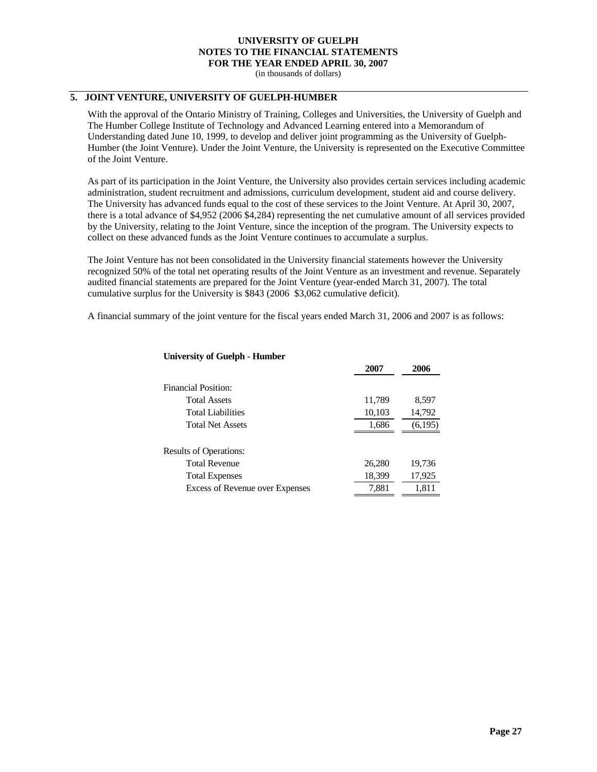(in thousands of dollars)

## **5. JOINT VENTURE, UNIVERSITY OF GUELPH-HUMBER**

With the approval of the Ontario Ministry of Training, Colleges and Universities, the University of Guelph and The Humber College Institute of Technology and Advanced Learning entered into a Memorandum of Understanding dated June 10, 1999, to develop and deliver joint programming as the University of Guelph-Humber (the Joint Venture). Under the Joint Venture, the University is represented on the Executive Committee of the Joint Venture.

As part of its participation in the Joint Venture, the University also provides certain services including academic administration, student recruitment and admissions, curriculum development, student aid and course delivery. The University has advanced funds equal to the cost of these services to the Joint Venture. At April 30, 2007, there is a total advance of \$4,952 (2006 \$4,284) representing the net cumulative amount of all services provided by the University, relating to the Joint Venture, since the inception of the program. The University expects to collect on these advanced funds as the Joint Venture continues to accumulate a surplus.

The Joint Venture has not been consolidated in the University financial statements however the University recognized 50% of the total net operating results of the Joint Venture as an investment and revenue. Separately audited financial statements are prepared for the Joint Venture (year-ended March 31, 2007). The total cumulative surplus for the University is \$843 (2006 \$3,062 cumulative deficit).

A financial summary of the joint venture for the fiscal years ended March 31, 2006 and 2007 is as follows:

|                                 | 400 I  | ∠vvv    |
|---------------------------------|--------|---------|
| <b>Financial Position:</b>      |        |         |
| <b>Total Assets</b>             | 11,789 | 8,597   |
| <b>Total Liabilities</b>        | 10,103 | 14,792  |
| <b>Total Net Assets</b>         | 1,686  | (6,195) |
|                                 |        |         |
| <b>Results of Operations:</b>   |        |         |
| <b>Total Revenue</b>            | 26,280 | 19,736  |
| <b>Total Expenses</b>           | 18,399 | 17,925  |
| Excess of Revenue over Expenses | 7,881  | 1,811   |

**2007 2006**

### **University of Guelph - Humber**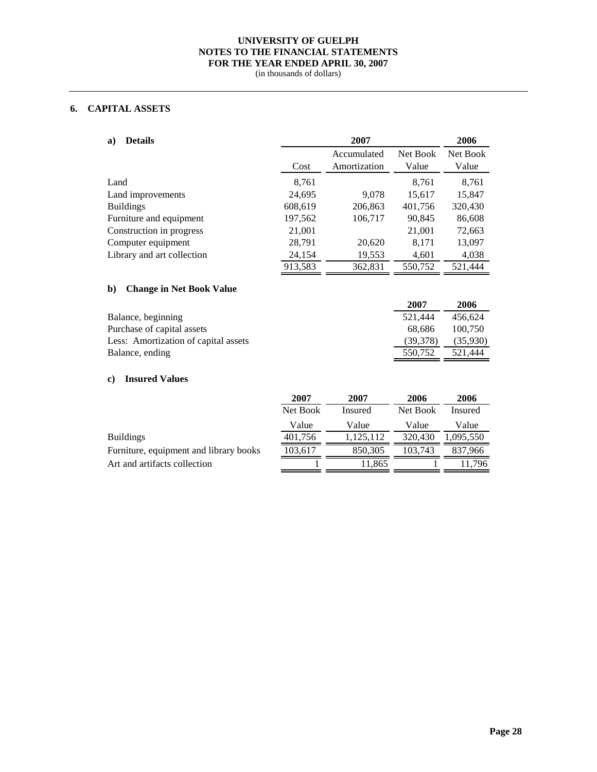(in thousands of dollars)

# **6. CAPITAL ASSETS**

| <b>Details</b><br>a)                  |          | 2007         |          | 2006      |
|---------------------------------------|----------|--------------|----------|-----------|
|                                       |          | Accumulated  | Net Book | Net Book  |
|                                       | Cost     | Amortization | Value    | Value     |
| Land                                  | 8,761    |              | 8,761    | 8,761     |
| Land improvements                     | 24,695   | 9,078        | 15,617   | 15,847    |
| <b>Buildings</b>                      | 608,619  | 206,863      | 401,756  | 320,430   |
| Furniture and equipment               | 197,562  | 106,717      | 90,845   | 86,608    |
| Construction in progress              | 21,001   |              | 21,001   | 72,663    |
| Computer equipment                    | 28,791   | 20,620       | 8,171    | 13,097    |
| Library and art collection            | 24,154   | 19,553       | 4,601    | 4,038     |
|                                       | 913,583  | 362,831      | 550,752  | 521,444   |
| <b>Change in Net Book Value</b><br>b) |          |              |          |           |
|                                       |          |              | 2007     | 2006      |
| Balance, beginning                    |          |              | 521,444  | 456,624   |
| Purchase of capital assets            |          |              | 68,686   | 100,750   |
| Less: Amortization of capital assets  |          |              | (39,378) | (35,930)  |
| Balance, ending                       |          |              | 550,752  | 521,444   |
|                                       |          |              |          |           |
| <b>Insured Values</b><br>c)           |          |              |          |           |
|                                       | 2007     | 2007         | 2006     | 2006      |
|                                       | Net Book | Insured      | Net Book | Insured   |
|                                       | Value    | Value        | Value    | Value     |
| <b>Buildings</b>                      | 401,756  | 1,125,112    | 320,430  | 1,095,550 |

Furniture, equipment and library books Art and artifacts collection

| Net Book | Insured   | Net Book | Insured   |
|----------|-----------|----------|-----------|
| Value    | Value     | Value    | Value     |
| 401,756  | 1,125,112 | 320,430  | 1,095,550 |
| 103,617  | 850,305   | 103,743  | 837,966   |
|          | 11,865    |          | 11.796    |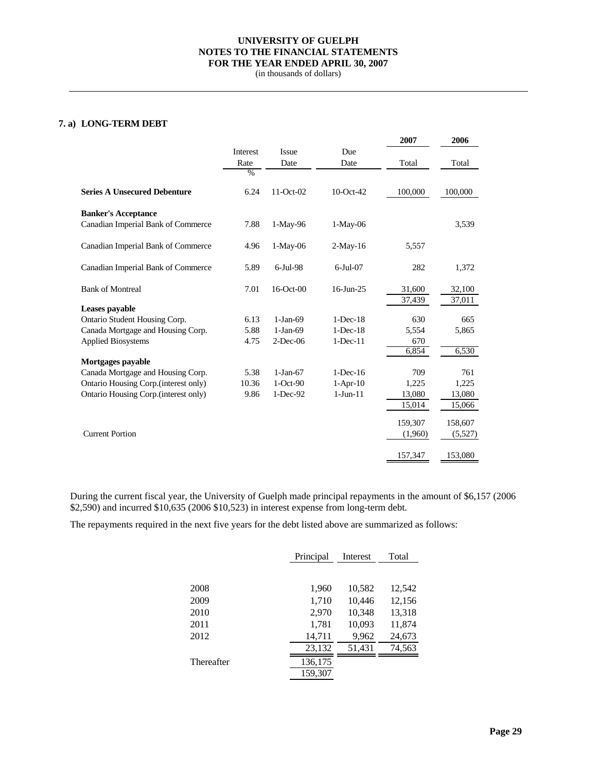(in thousands of dollars)

## **7. a) LONG-TERM DEBT**

|                                       |               |             |                | 2007    | 2006    |
|---------------------------------------|---------------|-------------|----------------|---------|---------|
|                                       | Interest      | Issue       | Due            |         |         |
|                                       | Rate          | Date        | Date           | Total   | Total   |
|                                       | $\frac{0}{0}$ |             |                |         |         |
| <b>Series A Unsecured Debenture</b>   | 6.24          | 11-Oct-02   | 10-Oct-42      | 100,000 | 100,000 |
| <b>Banker's Acceptance</b>            |               |             |                |         |         |
| Canadian Imperial Bank of Commerce    | 7.88          | 1-May-96    | $1-May-06$     |         | 3,539   |
| Canadian Imperial Bank of Commerce    | 4.96          | $1-May-06$  | $2-May-16$     | 5,557   |         |
| Canadian Imperial Bank of Commerce    | 5.89          | $6$ -Jul-98 | $6$ -Jul-07    | 282     | 1,372   |
| <b>Bank of Montreal</b>               | 7.01          | 16-Oct-00   | $16$ -Jun-25   | 31,600  | 32,100  |
| Leases payable                        |               |             |                | 37,439  | 37,011  |
| Ontario Student Housing Corp.         | 6.13          | $1-Jan-69$  | $1-Dec-18$     | 630     | 665     |
| Canada Mortgage and Housing Corp.     | 5.88          | $1-Jan-69$  | $1-Dec-18$     | 5,554   | 5,865   |
| <b>Applied Biosystems</b>             | 4.75          | $2$ -Dec-06 | $1$ -Dec- $11$ | 670     |         |
|                                       |               |             |                | 6,854   | 6,530   |
| Mortgages payable                     |               |             |                |         |         |
| Canada Mortgage and Housing Corp.     | 5.38          | $1-Jan-67$  | $1-Dec-16$     | 709     | 761     |
| Ontario Housing Corp. (interest only) | 10.36         | $1-Oct-90$  | $1-Apr-10$     | 1,225   | 1,225   |
| Ontario Housing Corp.(interest only)  | 9.86          | $1-Dec-92$  | $1-Jun-11$     | 13,080  | 13,080  |
|                                       |               |             |                | 15,014  | 15,066  |
|                                       |               |             |                | 159,307 | 158,607 |
| <b>Current Portion</b>                |               |             |                | (1,960) | (5,527) |
|                                       |               |             |                | 157,347 | 153,080 |

During the current fiscal year, the University of Guelph made principal repayments in the amount of \$6,157 (2006 \$2,590) and incurred \$10,635 (2006 \$10,523) in interest expense from long-term debt.

The repayments required in the next five years for the debt listed above are summarized as follows:

|            | Principal | Interest | Total  |
|------------|-----------|----------|--------|
|            |           |          |        |
| 2008       | 1,960     | 10,582   | 12,542 |
| 2009       | 1,710     | 10,446   | 12,156 |
| 2010       | 2,970     | 10,348   | 13,318 |
| 2011       | 1,781     | 10,093   | 11,874 |
| 2012       | 14,711    | 9,962    | 24,673 |
|            | 23,132    | 51,431   | 74,563 |
| Thereafter | 136,175   |          |        |
|            | 159,307   |          |        |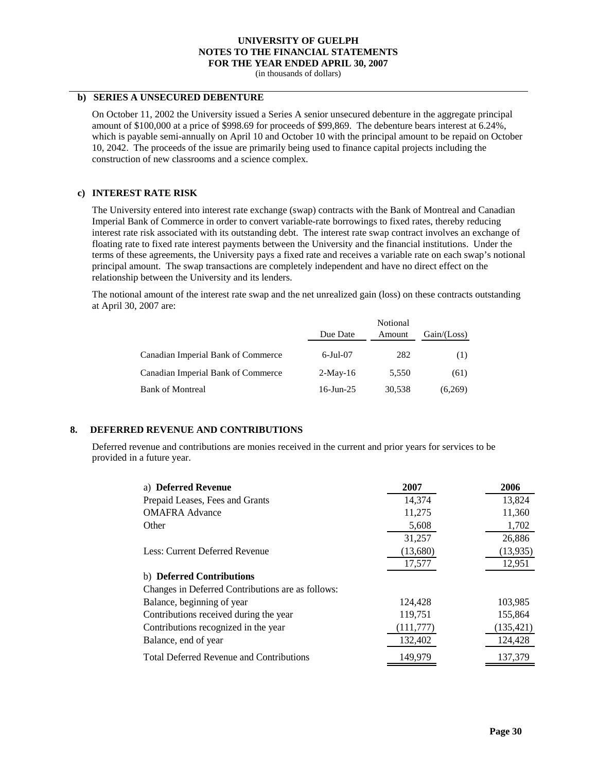(in thousands of dollars)

#### **b) SERIES A UNSECURED DEBENTURE**

On October 11, 2002 the University issued a Series A senior unsecured debenture in the aggregate principal amount of \$100,000 at a price of \$998.69 for proceeds of \$99,869. The debenture bears interest at 6.24%, which is payable semi-annually on April 10 and October 10 with the principal amount to be repaid on October 10, 2042. The proceeds of the issue are primarily being used to finance capital projects including the construction of new classrooms and a science complex.

#### **c) INTEREST RATE RISK**

The University entered into interest rate exchange (swap) contracts with the Bank of Montreal and Canadian Imperial Bank of Commerce in order to convert variable-rate borrowings to fixed rates, thereby reducing interest rate risk associated with its outstanding debt. The interest rate swap contract involves an exchange of floating rate to fixed rate interest payments between the University and the financial institutions. Under the terms of these agreements, the University pays a fixed rate and receives a variable rate on each swap's notional principal amount. The swap transactions are completely independent and have no direct effect on the relationship between the University and its lenders.

The notional amount of the interest rate swap and the net unrealized gain (loss) on these contracts outstanding at April 30, 2007 are:

|                                    | Due Date    | Notional<br>Amount | Gain / (Loss) |
|------------------------------------|-------------|--------------------|---------------|
| Canadian Imperial Bank of Commerce | $6$ -Jul-07 | 282                | (1)           |
| Canadian Imperial Bank of Commerce | $2-Mav-16$  | 5.550              | (61)          |
| <b>Bank of Montreal</b>            | 16-Jun-25   | 30,538             | (6,269)       |

#### **8. DEFERRED REVENUE AND CONTRIBUTIONS**

Deferred revenue and contributions are monies received in the current and prior years for services to be provided in a future year.

| a) Deferred Revenue                               | 2007       | 2006       |
|---------------------------------------------------|------------|------------|
| Prepaid Leases, Fees and Grants                   | 14,374     | 13,824     |
| <b>OMAFRA Advance</b>                             | 11,275     | 11,360     |
| Other                                             | 5,608      | 1,702      |
|                                                   | 31,257     | 26,886     |
| Less: Current Deferred Revenue                    | (13,680)   | (13, 935)  |
|                                                   | 17,577     | 12,951     |
| b) Deferred Contributions                         |            |            |
| Changes in Deferred Contributions are as follows: |            |            |
| Balance, beginning of year                        | 124,428    | 103,985    |
| Contributions received during the year            | 119,751    | 155,864    |
| Contributions recognized in the year              | (111, 777) | (135, 421) |
| Balance, end of year                              | 132,402    | 124,428    |
| <b>Total Deferred Revenue and Contributions</b>   | 149,979    | 137,379    |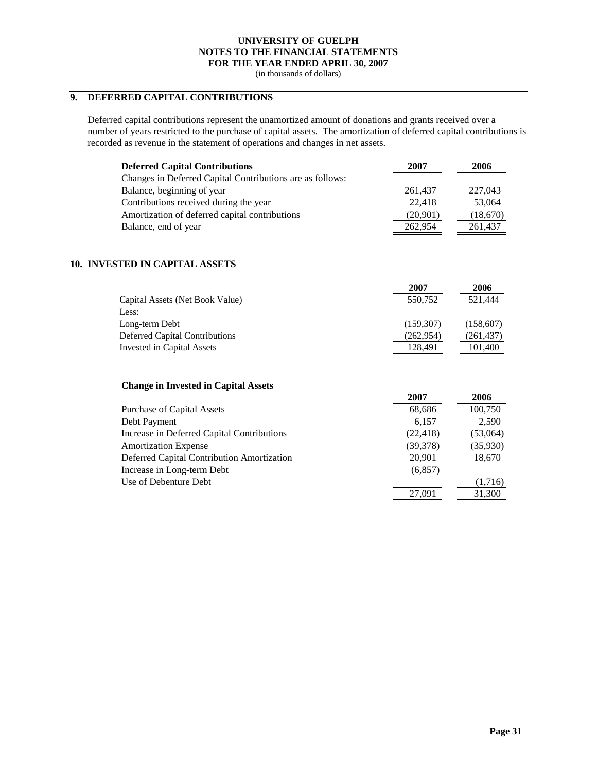(in thousands of dollars)

# **9. DEFERRED CAPITAL CONTRIBUTIONS**

Deferred capital contributions represent the unamortized amount of donations and grants received over a number of years restricted to the purchase of capital assets. The amortization of deferred capital contributions is recorded as revenue in the statement of operations and changes in net assets.

| <b>Deferred Capital Contributions</b>                     | 2007     | 2006     |
|-----------------------------------------------------------|----------|----------|
| Changes in Deferred Capital Contributions are as follows: |          |          |
| Balance, beginning of year                                | 261.437  | 227,043  |
| Contributions received during the year                    | 22.418   | 53,064   |
| Amortization of deferred capital contributions            | (20,901) | (18,670) |
| Balance, end of year                                      | 262,954  | 261,437  |

### **10. INVESTED IN CAPITAL ASSETS**

|                                 | 2007       | 2006       |
|---------------------------------|------------|------------|
| Capital Assets (Net Book Value) | 550.752    | 521.444    |
| Less:                           |            |            |
| Long-term Debt                  | (159,307)  | (158,607)  |
| Deferred Capital Contributions  | (262, 954) | (261, 437) |
| Invested in Capital Assets      | 128.491    | 101,400    |

#### **Change in Invested in Capital Assets**

|                                            | 2007      | 2006     |
|--------------------------------------------|-----------|----------|
| <b>Purchase of Capital Assets</b>          | 68,686    | 100,750  |
| Debt Payment                               | 6.157     | 2.590    |
| Increase in Deferred Capital Contributions | (22, 418) | (53,064) |
| <b>Amortization Expense</b>                | (39,378)  | (35,930) |
| Deferred Capital Contribution Amortization | 20,901    | 18,670   |
| Increase in Long-term Debt                 | (6,857)   |          |
| Use of Debenture Debt                      |           | (1,716)  |
|                                            | 27,091    | 31,300   |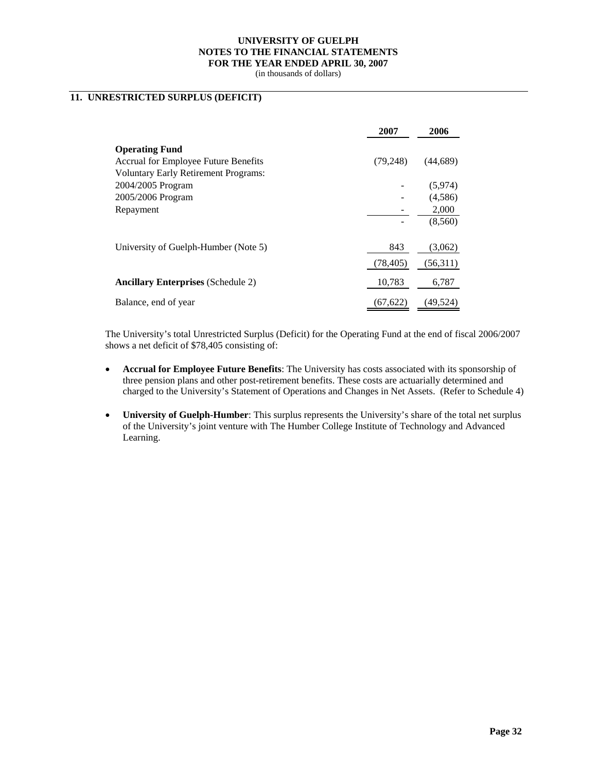(in thousands of dollars)

## **11. UNRESTRICTED SURPLUS (DEFICIT)**

|                                             | 2007      | 2006      |
|---------------------------------------------|-----------|-----------|
| <b>Operating Fund</b>                       |           |           |
| <b>Accrual for Employee Future Benefits</b> | (79, 248) | (44,689)  |
| <b>Voluntary Early Retirement Programs:</b> |           |           |
| 2004/2005 Program                           |           | (5,974)   |
| 2005/2006 Program                           |           | (4,586)   |
| Repayment                                   |           | 2,000     |
|                                             |           | (8,560)   |
| University of Guelph-Humber (Note 5)        | 843       | (3,062)   |
|                                             | (78, 405) | (56,311)  |
| <b>Ancillary Enterprises</b> (Schedule 2)   | 10,783    | 6,787     |
| Balance, end of year                        | (67, 622) | (49, 524) |

The University's total Unrestricted Surplus (Deficit) for the Operating Fund at the end of fiscal 2006/2007 shows a net deficit of \$78,405 consisting of:

- **Accrual for Employee Future Benefits**: The University has costs associated with its sponsorship of three pension plans and other post-retirement benefits. These costs are actuarially determined and charged to the University's Statement of Operations and Changes in Net Assets. (Refer to Schedule 4)
- **University of Guelph-Humber**: This surplus represents the University's share of the total net surplus of the University's joint venture with The Humber College Institute of Technology and Advanced Learning.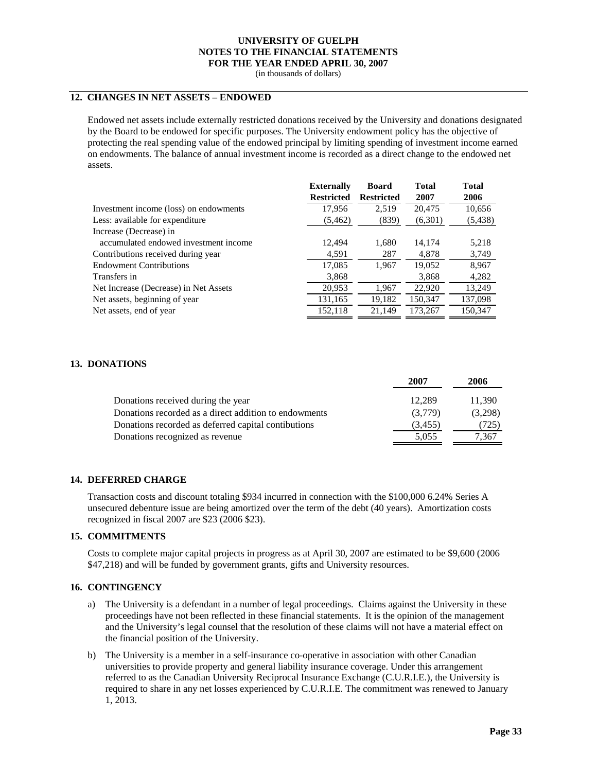(in thousands of dollars)

## **12. CHANGES IN NET ASSETS – ENDOWED**

Endowed net assets include externally restricted donations received by the University and donations designated by the Board to be endowed for specific purposes. The University endowment policy has the objective of protecting the real spending value of the endowed principal by limiting spending of investment income earned on endowments. The balance of annual investment income is recorded as a direct change to the endowed net assets.

|                                        | <b>Externally</b> | <b>Board</b>      | <b>Total</b> | <b>Total</b> |
|----------------------------------------|-------------------|-------------------|--------------|--------------|
|                                        | <b>Restricted</b> | <b>Restricted</b> | 2007         | 2006         |
| Investment income (loss) on endowments | 17,956            | 2,519             | 20,475       | 10,656       |
| Less: available for expenditure        | (5, 462)          | (839)             | (6,301)      | (5, 438)     |
| Increase (Decrease) in                 |                   |                   |              |              |
| accumulated endowed investment income  | 12.494            | 1,680             | 14,174       | 5,218        |
| Contributions received during year     | 4,591             | 287               | 4,878        | 3,749        |
| <b>Endowment Contributions</b>         | 17,085            | 1.967             | 19,052       | 8,967        |
| Transfers in                           | 3,868             |                   | 3,868        | 4,282        |
| Net Increase (Decrease) in Net Assets  | 20,953            | 1.967             | 22,920       | 13,249       |
| Net assets, beginning of year          | 131,165           | 19,182            | 150,347      | 137,098      |
| Net assets, end of year                | 152,118           | 21,149            | 173,267      | 150,347      |

#### **13. DONATIONS**

|                                                       | 2007    | 2006    |
|-------------------------------------------------------|---------|---------|
| Donations received during the year                    | 12.289  | 11.390  |
| Donations recorded as a direct addition to endowments | (3,779) | (3,298) |
| Donations recorded as deferred capital contibutions   | (3,455) | (725)   |
| Donations recognized as revenue                       | 5,055   | 1.367   |

#### **14. DEFERRED CHARGE**

Transaction costs and discount totaling \$934 incurred in connection with the \$100,000 6.24% Series A unsecured debenture issue are being amortized over the term of the debt (40 years). Amortization costs recognized in fiscal 2007 are \$23 (2006 \$23).

#### **15. COMMITMENTS**

Costs to complete major capital projects in progress as at April 30, 2007 are estimated to be \$9,600 (2006 \$47,218) and will be funded by government grants, gifts and University resources.

#### **16. CONTINGENCY**

- a) The University is a defendant in a number of legal proceedings. Claims against the University in these proceedings have not been reflected in these financial statements. It is the opinion of the management and the University's legal counsel that the resolution of these claims will not have a material effect on the financial position of the University.
- b) The University is a member in a self-insurance co-operative in association with other Canadian universities to provide property and general liability insurance coverage. Under this arrangement referred to as the Canadian University Reciprocal Insurance Exchange (C.U.R.I.E.), the University is required to share in any net losses experienced by C.U.R.I.E. The commitment was renewed to January 1, 2013.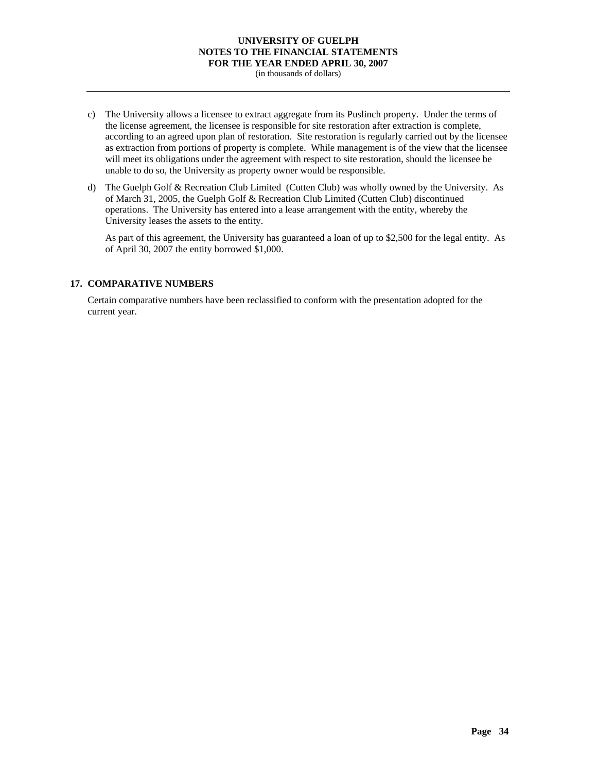(in thousands of dollars)

- c) The University allows a licensee to extract aggregate from its Puslinch property. Under the terms of the license agreement, the licensee is responsible for site restoration after extraction is complete, according to an agreed upon plan of restoration. Site restoration is regularly carried out by the licensee as extraction from portions of property is complete. While management is of the view that the licensee will meet its obligations under the agreement with respect to site restoration, should the licensee be unable to do so, the University as property owner would be responsible.
- d) The Guelph Golf & Recreation Club Limited (Cutten Club) was wholly owned by the University. As of March 31, 2005, the Guelph Golf & Recreation Club Limited (Cutten Club) discontinued operations. The University has entered into a lease arrangement with the entity, whereby the University leases the assets to the entity.

As part of this agreement, the University has guaranteed a loan of up to \$2,500 for the legal entity. As of April 30, 2007 the entity borrowed \$1,000.

### **17. COMPARATIVE NUMBERS**

Certain comparative numbers have been reclassified to conform with the presentation adopted for the current year.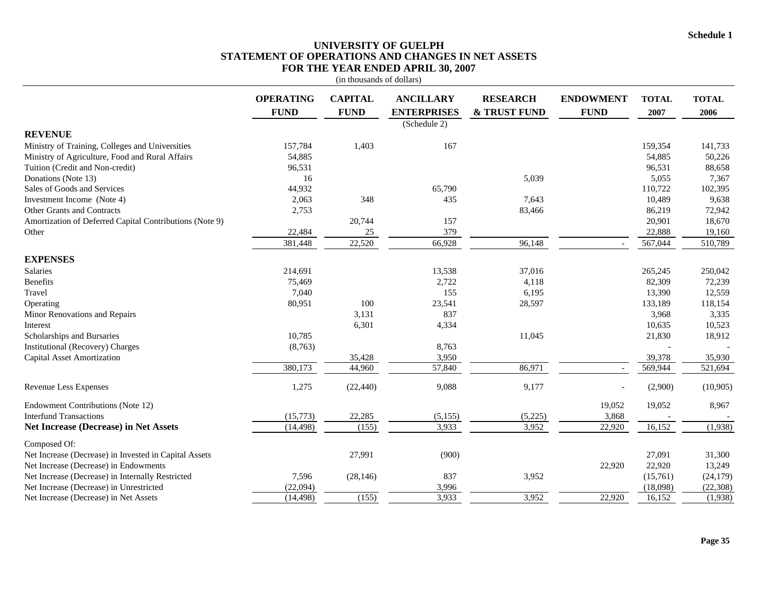## **UNIVERSITY OF GUELPH STATEMENT OF OPERATIONS AND CHANGES IN NET ASSETS FOR THE YEAR ENDED APRIL 30, 2007**

|                                                         |                                 | (in thousands of dollars)     |                                        |                                 |                                 |                      |                      |
|---------------------------------------------------------|---------------------------------|-------------------------------|----------------------------------------|---------------------------------|---------------------------------|----------------------|----------------------|
|                                                         | <b>OPERATING</b><br><b>FUND</b> | <b>CAPITAL</b><br><b>FUND</b> | <b>ANCILLARY</b><br><b>ENTERPRISES</b> | <b>RESEARCH</b><br>& TRUST FUND | <b>ENDOWMENT</b><br><b>FUND</b> | <b>TOTAL</b><br>2007 | <b>TOTAL</b><br>2006 |
| <b>REVENUE</b>                                          |                                 |                               | (Schedule 2)                           |                                 |                                 |                      |                      |
| Ministry of Training, Colleges and Universities         | 157,784                         | 1,403                         | 167                                    |                                 |                                 | 159,354              | 141,733              |
| Ministry of Agriculture, Food and Rural Affairs         | 54,885                          |                               |                                        |                                 |                                 | 54,885               | 50,226               |
| Tuition (Credit and Non-credit)                         | 96,531                          |                               |                                        |                                 |                                 | 96,531               | 88,658               |
| Donations (Note 13)                                     | 16                              |                               |                                        | 5,039                           |                                 | 5,055                | 7,367                |
| Sales of Goods and Services                             | 44,932                          |                               | 65,790                                 |                                 |                                 | 110,722              | 102,395              |
| Investment Income (Note 4)                              | 2,063                           | 348                           | 435                                    | 7,643                           |                                 | 10,489               | 9,638                |
| <b>Other Grants and Contracts</b>                       | 2,753                           |                               |                                        | 83,466                          |                                 | 86,219               | 72,942               |
| Amortization of Deferred Capital Contributions (Note 9) |                                 | 20,744                        | 157                                    |                                 |                                 | 20,901               | 18,670               |
| Other                                                   | 22,484                          | 25                            | 379                                    |                                 |                                 | 22,888               | 19,160               |
|                                                         | 381,448                         | 22,520                        | 66,928                                 | 96,148                          |                                 | 567,044              | 510,789              |
| <b>EXPENSES</b>                                         |                                 |                               |                                        |                                 |                                 |                      |                      |
| Salaries                                                | 214,691                         |                               | 13,538                                 | 37,016                          |                                 | 265,245              | 250,042              |
| Benefits                                                | 75,469                          |                               | 2,722                                  | 4,118                           |                                 | 82,309               | 72,239               |
| Travel                                                  | 7,040                           |                               | 155                                    | 6,195                           |                                 | 13,390               | 12,559               |
| Operating                                               | 80,951                          | 100                           | 23,541                                 | 28,597                          |                                 | 133,189              | 118,154              |
| Minor Renovations and Repairs                           |                                 | 3,131                         | 837                                    |                                 |                                 | 3,968                | 3,335                |
| Interest                                                |                                 | 6,301                         | 4,334                                  |                                 |                                 | 10,635               | 10,523               |
| Scholarships and Bursaries                              | 10,785                          |                               |                                        | 11,045                          |                                 | 21,830               | 18,912               |
| Institutional (Recovery) Charges                        | (8,763)                         |                               | 8,763                                  |                                 |                                 |                      |                      |
| <b>Capital Asset Amortization</b>                       |                                 | 35,428                        | 3,950                                  |                                 |                                 | 39,378               | 35,930               |
|                                                         | 380,173                         | 44,960                        | 57,840                                 | 86,971                          |                                 | 569,944              | 521,694              |
| Revenue Less Expenses                                   | 1,275                           | (22, 440)                     | 9,088                                  | 9,177                           |                                 | (2,900)              | (10,905)             |
| Endowment Contributions (Note 12)                       |                                 |                               |                                        |                                 | 19,052                          | 19,052               | 8,967                |
| <b>Interfund Transactions</b>                           | (15, 773)                       | 22,285                        | (5, 155)                               | (5,225)                         | 3,868                           |                      |                      |
| <b>Net Increase (Decrease) in Net Assets</b>            | (14, 498)                       | (155)                         | 3,933                                  | 3,952                           | 22,920                          | 16,152               | (1,938)              |
| Composed Of:                                            |                                 |                               |                                        |                                 |                                 |                      |                      |
| Net Increase (Decrease) in Invested in Capital Assets   |                                 | 27,991                        | (900)                                  |                                 |                                 | 27,091               | 31,300               |
| Net Increase (Decrease) in Endowments                   |                                 |                               |                                        |                                 | 22,920                          | 22,920               | 13,249               |
| Net Increase (Decrease) in Internally Restricted        | 7,596                           | (28, 146)                     | 837                                    | 3,952                           |                                 | (15,761)             | (24, 179)            |
| Net Increase (Decrease) in Unrestricted                 | (22,094)                        |                               | 3,996                                  |                                 |                                 | (18,098)             | (22, 308)            |
| Net Increase (Decrease) in Net Assets                   | (14, 498)                       | (155)                         | 3,933                                  | 3,952                           | 22,920                          | 16,152               | (1,938)              |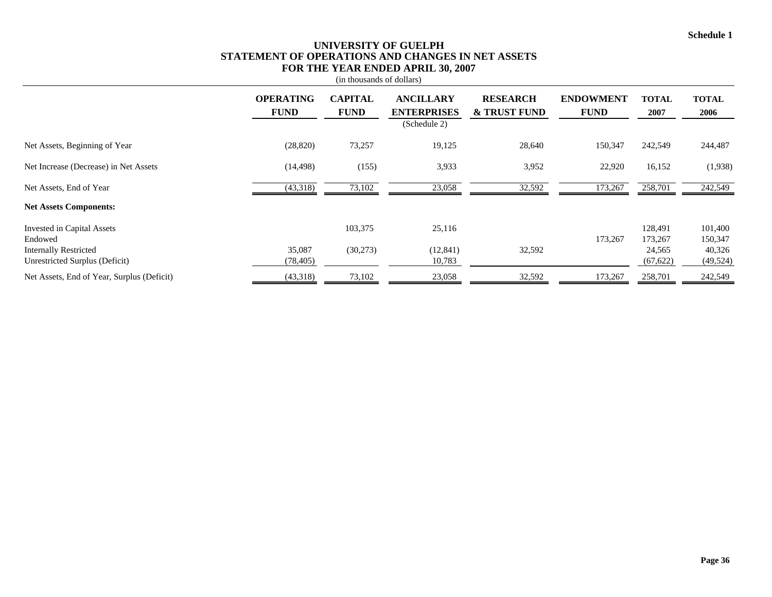## **UNIVERSITY OF GUELPH STATEMENT OF OPERATIONS AND CHANGES IN NET ASSETS FOR THE YEAR ENDED APRIL 30, 2007**

|                                                                |                                 | (in thousands of dollars)     |                                        |                                            |                                 |                      |                      |
|----------------------------------------------------------------|---------------------------------|-------------------------------|----------------------------------------|--------------------------------------------|---------------------------------|----------------------|----------------------|
|                                                                | <b>OPERATING</b><br><b>FUND</b> | <b>CAPITAL</b><br><b>FUND</b> | <b>ANCILLARY</b><br><b>ENTERPRISES</b> | <b>RESEARCH</b><br><b>&amp; TRUST FUND</b> | <b>ENDOWMENT</b><br><b>FUND</b> | <b>TOTAL</b><br>2007 | <b>TOTAL</b><br>2006 |
|                                                                |                                 |                               | (Schedule 2)                           |                                            |                                 |                      |                      |
| Net Assets, Beginning of Year                                  | (28, 820)                       | 73,257                        | 19,125                                 | 28,640                                     | 150,347                         | 242,549              | 244,487              |
| Net Increase (Decrease) in Net Assets                          | (14, 498)                       | (155)                         | 3,933                                  | 3,952                                      | 22,920                          | 16,152               | (1,938)              |
| Net Assets, End of Year                                        | (43,318)                        | 73,102                        | 23,058                                 | 32,592                                     | 173,267                         | 258,701              | 242,549              |
| <b>Net Assets Components:</b>                                  |                                 |                               |                                        |                                            |                                 |                      |                      |
| Invested in Capital Assets<br>Endowed                          |                                 | 103,375                       | 25,116                                 |                                            | 173,267                         | 128,491<br>173,267   | 101,400<br>150,347   |
| <b>Internally Restricted</b><br>Unrestricted Surplus (Deficit) | 35,087<br>(78, 405)             | (30,273)                      | (12, 841)<br>10,783                    | 32,592                                     |                                 | 24,565<br>(67, 622)  | 40,326<br>(49, 524)  |
| Net Assets, End of Year, Surplus (Deficit)                     | (43,318)                        | 73,102                        | 23,058                                 | 32,592                                     | 173,267                         | 258,701              | 242,549              |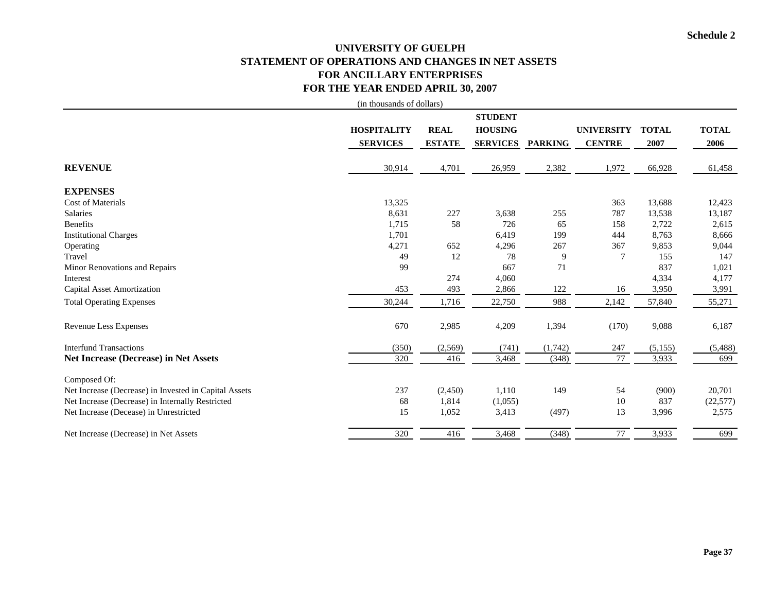# **UNIVERSITY OF GUELPH STATEMENT OF OPERATIONS AND CHANGES IN NET ASSETS FOR ANCILLARY ENTERPRISES FOR THE YEAR ENDED APRIL 30, 2007**

|                                                       | (in thousands of dollars) |               |                 |                |                   |              |              |
|-------------------------------------------------------|---------------------------|---------------|-----------------|----------------|-------------------|--------------|--------------|
|                                                       |                           |               | <b>STUDENT</b>  |                |                   |              |              |
|                                                       | <b>HOSPITALITY</b>        | <b>REAL</b>   | <b>HOUSING</b>  |                | <b>UNIVERSITY</b> | <b>TOTAL</b> | <b>TOTAL</b> |
|                                                       | <b>SERVICES</b>           | <b>ESTATE</b> | <b>SERVICES</b> | <b>PARKING</b> | <b>CENTRE</b>     | 2007         | 2006         |
|                                                       |                           |               |                 |                |                   |              |              |
| <b>REVENUE</b>                                        | 30,914                    | 4,701         | 26,959          | 2,382          | 1,972             | 66,928       | 61,458       |
| <b>EXPENSES</b>                                       |                           |               |                 |                |                   |              |              |
| <b>Cost of Materials</b>                              | 13,325                    |               |                 |                | 363               | 13,688       | 12,423       |
| <b>Salaries</b>                                       | 8,631                     | 227           | 3,638           | 255            | 787               | 13,538       | 13,187       |
| <b>Benefits</b>                                       | 1,715                     | 58            | 726             | 65             | 158               | 2,722        | 2,615        |
| <b>Institutional Charges</b>                          | 1,701                     |               | 6,419           | 199            | 444               | 8,763        | 8,666        |
| Operating                                             | 4,271                     | 652           | 4,296           | 267            | 367               | 9,853        | 9,044        |
| Travel                                                | 49                        | 12            | 78              | 9              | 7                 | 155          | 147          |
| Minor Renovations and Repairs                         | 99                        |               | 667             | 71             |                   | 837          | 1,021        |
| Interest                                              |                           | 274           | 4,060           |                |                   | 4,334        | 4,177        |
| Capital Asset Amortization                            | 453                       | 493           | 2,866           | 122            | 16                | 3,950        | 3,991        |
| <b>Total Operating Expenses</b>                       | 30,244                    | 1,716         | 22,750          | 988            | 2,142             | 57,840       | 55,271       |
| Revenue Less Expenses                                 | 670                       | 2,985         | 4,209           | 1,394          | (170)             | 9,088        | 6,187        |
| <b>Interfund Transactions</b>                         | (350)                     | (2, 569)      | (741)           | (1,742)        | 247               | (5,155)      | (5, 488)     |
| <b>Net Increase (Decrease) in Net Assets</b>          | 320                       | 416           | 3,468           | (348)          | 77                | 3,933        | 699          |
| Composed Of:                                          |                           |               |                 |                |                   |              |              |
| Net Increase (Decrease) in Invested in Capital Assets | 237                       | (2,450)       | 1,110           | 149            | 54                | (900)        | 20,701       |
| Net Increase (Decrease) in Internally Restricted      | 68                        | 1,814         | (1,055)         |                | 10                | 837          | (22, 577)    |
| Net Increase (Decease) in Unrestricted                | 15                        | 1,052         | 3,413           | (497)          | 13                | 3,996        | 2,575        |
| Net Increase (Decrease) in Net Assets                 | 320                       | 416           | 3,468           | (348)          | 77                | 3,933        | 699          |
|                                                       |                           |               |                 |                |                   |              |              |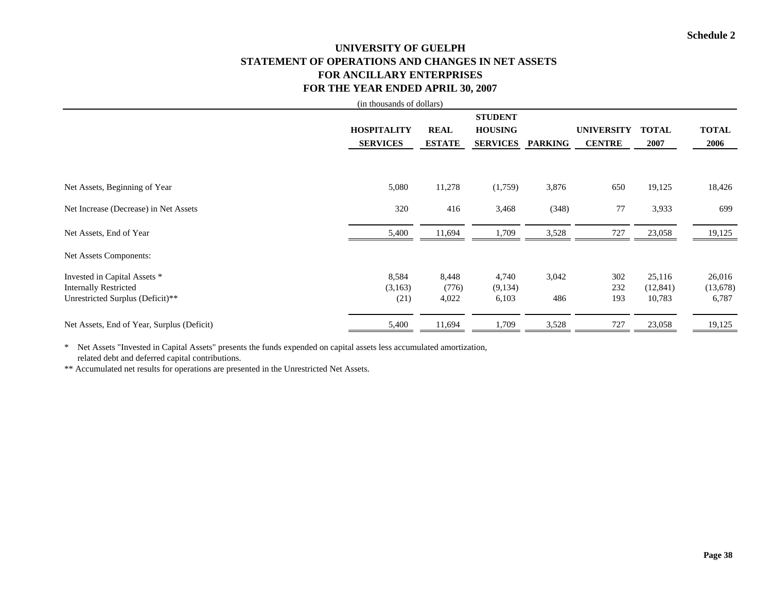# **UNIVERSITY OF GUELPH STATEMENT OF OPERATIONS AND CHANGES IN NET ASSETS FOR ANCILLARY ENTERPRISESFOR THE YEAR ENDED APRIL 30, 2007**

|                                            | (in thousands of dollars) |               |                 |                |                   |              |              |
|--------------------------------------------|---------------------------|---------------|-----------------|----------------|-------------------|--------------|--------------|
|                                            |                           |               | <b>STUDENT</b>  |                |                   |              |              |
|                                            | <b>HOSPITALITY</b>        | <b>REAL</b>   | <b>HOUSING</b>  |                | <b>UNIVERSITY</b> | <b>TOTAL</b> | <b>TOTAL</b> |
|                                            | <b>SERVICES</b>           | <b>ESTATE</b> | <b>SERVICES</b> | <b>PARKING</b> | <b>CENTRE</b>     | 2007         | 2006         |
|                                            |                           |               |                 |                |                   |              |              |
| Net Assets, Beginning of Year              | 5,080                     | 11,278        | (1,759)         | 3,876          | 650               | 19,125       | 18,426       |
|                                            |                           |               |                 |                |                   |              |              |
| Net Increase (Decrease) in Net Assets      | 320                       | 416           | 3,468           | (348)          | 77                | 3,933        | 699          |
| Net Assets, End of Year                    | 5,400                     | 11,694        | 1,709           | 3,528          | 727               | 23,058       | 19,125       |
| Net Assets Components:                     |                           |               |                 |                |                   |              |              |
| Invested in Capital Assets *               | 8,584                     | 8,448         | 4,740           | 3,042          | 302               | 25,116       | 26,016       |
| <b>Internally Restricted</b>               | (3,163)                   | (776)         | (9,134)         |                | 232               | (12, 841)    | (13,678)     |
| Unrestricted Surplus (Deficit)**           | (21)                      | 4,022         | 6,103           | 486            | 193               | 10,783       | 6,787        |
| Net Assets, End of Year, Surplus (Deficit) | 5,400                     | 11,694        | 1,709           | 3,528          | 727               | 23,058       | 19,125       |

\* Net Assets "Invested in Capital Assets" presents the funds expended on capital assets less accumulated amortization, related debt and deferred capital contributions.

\*\* Accumulated net results for operations are presented in the Unrestricted Net Assets.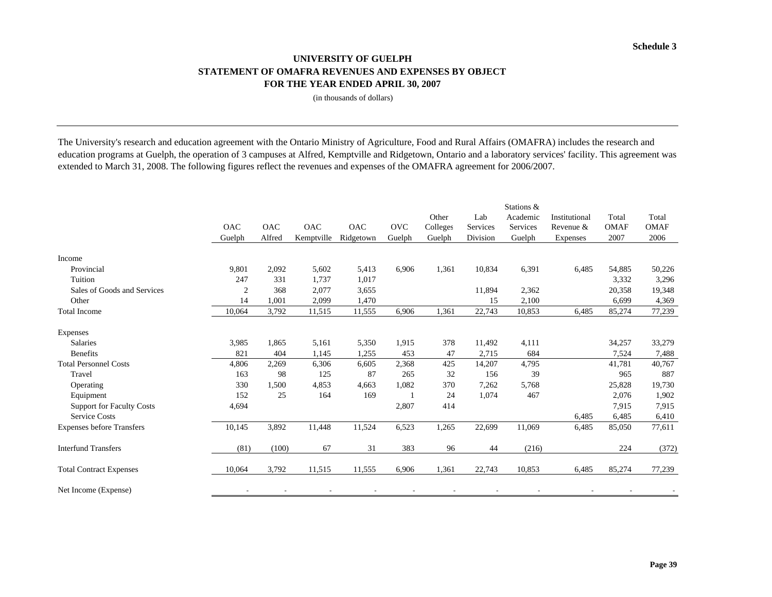## **UNIVERSITY OF GUELPHSTATEMENT OF OMAFRA REVENUES AND EXPENSES BY OBJECT FOR THE YEAR ENDED APRIL 30, 2007**

(in thousands of dollars)

The University's research and education agreement with the Ontario Ministry of Agriculture, Food and Rural Affairs (OMAFRA) includes the research and education programs at Guelph, the operation of 3 campuses at Alfred, Kemptville and Ridgetown, Ontario and a laboratory services' facility. This agreement was extended to March 31, 2008. The following figures reflect the revenues and expenses of the OMAFRA agreement for 2006/2007.

|                                  |                |            |            |            |            | Other    | Lab      | Stations &<br>Academic | Institutional | Total       | Total       |
|----------------------------------|----------------|------------|------------|------------|------------|----------|----------|------------------------|---------------|-------------|-------------|
|                                  | OAC            | <b>OAC</b> | <b>OAC</b> | <b>OAC</b> | <b>OVC</b> | Colleges | Services | Services               | Revenue &     | <b>OMAF</b> | <b>OMAF</b> |
|                                  | Guelph         | Alfred     | Kemptville | Ridgetown  | Guelph     | Guelph   | Division | Guelph                 | Expenses      | 2007        | 2006        |
|                                  |                |            |            |            |            |          |          |                        |               |             |             |
| Income                           |                |            |            |            |            |          |          |                        |               |             |             |
| Provincial                       | 9,801          | 2,092      | 5,602      | 5,413      | 6,906      | 1,361    | 10,834   | 6,391                  | 6,485         | 54,885      | 50,226      |
| Tuition                          | 247            | 331        | 1,737      | 1,017      |            |          |          |                        |               | 3,332       | 3,296       |
| Sales of Goods and Services      | $\overline{2}$ | 368        | 2,077      | 3,655      |            |          | 11,894   | 2,362                  |               | 20,358      | 19,348      |
| Other                            | 14             | 1,001      | 2,099      | 1,470      |            |          | 15       | 2,100                  |               | 6,699       | 4,369       |
| <b>Total Income</b>              | 10,064         | 3,792      | 11,515     | 11,555     | 6,906      | 1,361    | 22,743   | 10,853                 | 6,485         | 85,274      | 77,239      |
| Expenses                         |                |            |            |            |            |          |          |                        |               |             |             |
| Salaries                         | 3,985          | 1,865      | 5,161      | 5,350      | 1,915      | 378      | 11,492   | 4,111                  |               | 34,257      | 33,279      |
| <b>Benefits</b>                  | 821            | 404        | 1,145      | 1,255      | 453        | 47       | 2,715    | 684                    |               | 7,524       | 7,488       |
| <b>Total Personnel Costs</b>     | 4,806          | 2,269      | 6,306      | 6,605      | 2,368      | 425      | 14,207   | 4,795                  |               | 41,781      | 40,767      |
| Travel                           | 163            | 98         | 125        | 87         | 265        | 32       | 156      | 39                     |               | 965         | 887         |
| Operating                        | 330            | 1,500      | 4,853      | 4,663      | 1,082      | 370      | 7,262    | 5,768                  |               | 25,828      | 19,730      |
| Equipment                        | 152            | 25         | 164        | 169        |            | 24       | 1,074    | 467                    |               | 2,076       | 1,902       |
| <b>Support for Faculty Costs</b> | 4,694          |            |            |            | 2,807      | 414      |          |                        |               | 7,915       | 7,915       |
| <b>Service Costs</b>             |                |            |            |            |            |          |          |                        | 6,485         | 6,485       | 6,410       |
| <b>Expenses before Transfers</b> | 10,145         | 3,892      | 11,448     | 11,524     | 6,523      | 1,265    | 22,699   | 11,069                 | 6,485         | 85,050      | 77,611      |
| <b>Interfund Transfers</b>       | (81)           | (100)      | 67         | 31         | 383        | 96       | 44       | (216)                  |               | 224         | (372)       |
| <b>Total Contract Expenses</b>   | 10,064         | 3,792      | 11,515     | 11,555     | 6,906      | 1,361    | 22,743   | 10,853                 | 6,485         | 85,274      | 77,239      |
| Net Income (Expense)             |                |            |            |            |            |          |          |                        |               |             |             |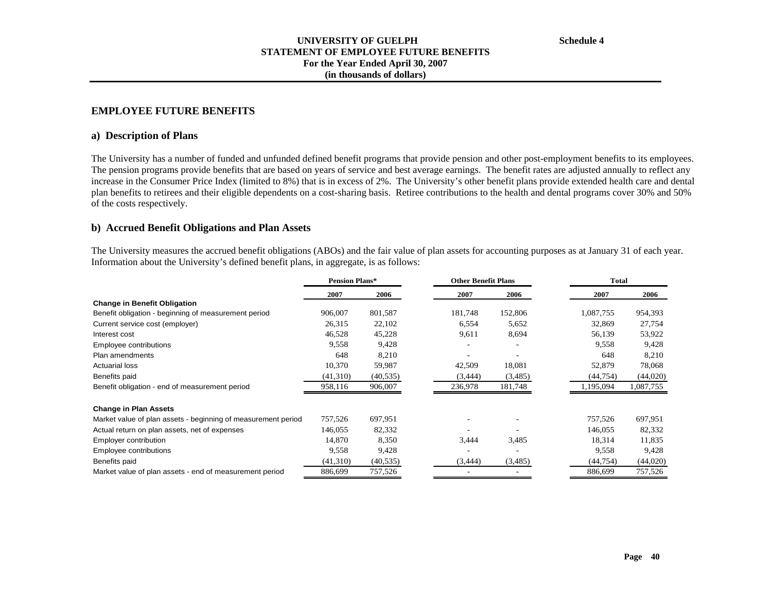## **EMPLOYEE FUTURE BENEFITS**

#### **a) Description of Plans**

The University has a number of funded and unfunded defined benefit programs that provide pension and other post-employment benefits to its employees. The pension programs provide benefits that are based on years of service and best average earnings. The benefit rates are adjusted annually to reflect any increase in the Consumer Price Index (limited to 8%) that is in excess of 2%. The University's other benefit plans provide extended health care and dental plan benefits to retirees and their eligible dependents on a cost-sharing basis. Retiree contributions to the health and dental programs cover 30% and 50% of the costs respectively.

#### **b) Accrued Benefit Obligations and Plan Assets**

The University measures the accrued benefit obligations (ABOs) and the fair value of plan assets for accounting purposes as at January 31 of each year. Information about the University's defined benefit plans, in aggregate, is as follows:

|                                                               | <b>Pension Plans*</b> |           | <b>Other Benefit Plans</b> |         |           | <b>Total</b> |
|---------------------------------------------------------------|-----------------------|-----------|----------------------------|---------|-----------|--------------|
|                                                               | 2007                  | 2006      | 2007                       | 2006    | 2007      | 2006         |
| <b>Change in Benefit Obligation</b>                           |                       |           |                            |         |           |              |
| Benefit obligation - beginning of measurement period          | 906,007               | 801,587   | 181,748                    | 152,806 | 1,087,755 | 954,393      |
| Current service cost (employer)                               | 26,315                | 22,102    | 6,554                      | 5,652   | 32,869    | 27,754       |
| Interest cost                                                 | 46,528                | 45,228    | 9,611                      | 8,694   | 56,139    | 53,922       |
| Employee contributions                                        | 9,558                 | 9,428     |                            |         | 9,558     | 9,428        |
| Plan amendments                                               | 648                   | 8,210     |                            |         | 648       | 8,210        |
| <b>Actuarial loss</b>                                         | 10,370                | 59,987    | 42,509                     | 18,081  | 52,879    | 78,068       |
| Benefits paid                                                 | (41,310)              | (40, 535) | (3, 444)                   | (3,485) | (44, 754) | (44,020)     |
| Benefit obligation - end of measurement period                | 958,116               | 906,007   | 236,978                    | 181,748 | 1,195,094 | 1,087,755    |
| <b>Change in Plan Assets</b>                                  |                       |           |                            |         |           |              |
| Market value of plan assets - beginning of measurement period | 757,526               | 697,951   |                            |         | 757,526   | 697,951      |
| Actual return on plan assets, net of expenses                 | 146,055               | 82,332    |                            |         | 146,055   | 82,332       |
| Employer contribution                                         | 14,870                | 8,350     | 3,444                      | 3,485   | 18,314    | 11,835       |
| Employee contributions                                        | 9,558                 | 9,428     |                            |         | 9,558     | 9,428        |
| Benefits paid                                                 | (41,310)              | (40, 535) | (3, 444)                   | (3,485) | (44, 754) | (44,020)     |
| Market value of plan assets - end of measurement period       | 886,699               | 757,526   |                            |         | 886,699   | 757,526      |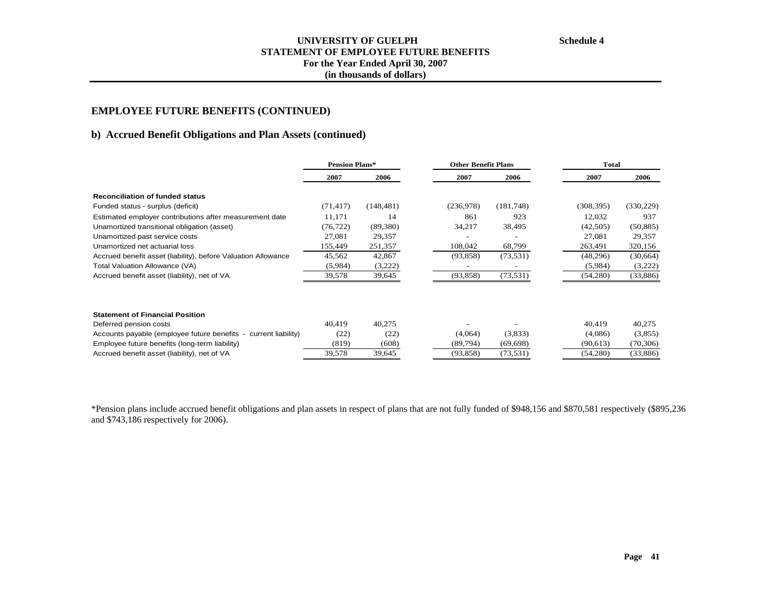# **b) Accrued Benefit Obligations and Plan Assets (continued)**

|                                                                 | <b>Pension Plans*</b> |            |           | <b>Other Benefit Plans</b> |            | <b>Total</b> |
|-----------------------------------------------------------------|-----------------------|------------|-----------|----------------------------|------------|--------------|
|                                                                 | 2007                  | 2006       | 2007      | 2006                       | 2007       | 2006         |
| <b>Reconciliation of funded status</b>                          |                       |            |           |                            |            |              |
| Funded status - surplus (deficit)                               | (71, 417)             | (148, 481) | (236,978) | (181,748)                  | (308, 395) | (330, 229)   |
| Estimated employer contributions after measurement date         | 11,171                | 14         | 861       | 923                        | 12,032     | 937          |
| Unamortized transitional obligation (asset)                     | (76, 722)             | (89, 380)  | 34,217    | 38,495                     | (42, 505)  | (50, 885)    |
| Unamortized past service costs                                  | 27,081                | 29,357     |           |                            | 27,081     | 29,357       |
| Unamortized net actuarial loss                                  | 155,449               | 251,357    | 108,042   | 68,799                     | 263,491    | 320,156      |
| Accrued benefit asset (liability), before Valuation Allowance   | 45,562                | 42,867     | (93, 858) | (73, 531)                  | (48,296)   | (30,664)     |
| Total Valuation Allowance (VA)                                  | (5,984)               | (3,222)    |           |                            | (5,984)    | (3,222)      |
| Accrued benefit asset (liability), net of VA                    | 39,578                | 39,645     | (93, 858) | (73, 531)                  | (54,280)   | (33,886)     |
| <b>Statement of Financial Position</b>                          |                       |            |           |                            |            |              |
| Deferred pension costs                                          | 40,419                | 40,275     |           |                            | 40,419     | 40,275       |
| Accounts payable (employee future benefits - current liability) | (22)                  | (22)       | (4,064)   | (3,833)                    | (4,086)    | (3,855)      |
| Employee future benefits (long-term liability)                  | (819)                 | (608)      | (89,794)  | (69, 698)                  | (90, 613)  | (70, 306)    |
| Accrued benefit asset (liability), net of VA                    | 39,578                | 39,645     | (93, 858) | (73, 531)                  | (54,280)   | (33, 886)    |

\*Pension plans include accrued benefit obligations and plan assets in respect of plans that are not fully funded of \$948,156 and \$870,581 respectively (\$895,236 and \$743,186 respectively for 2006).

**Schedule 4**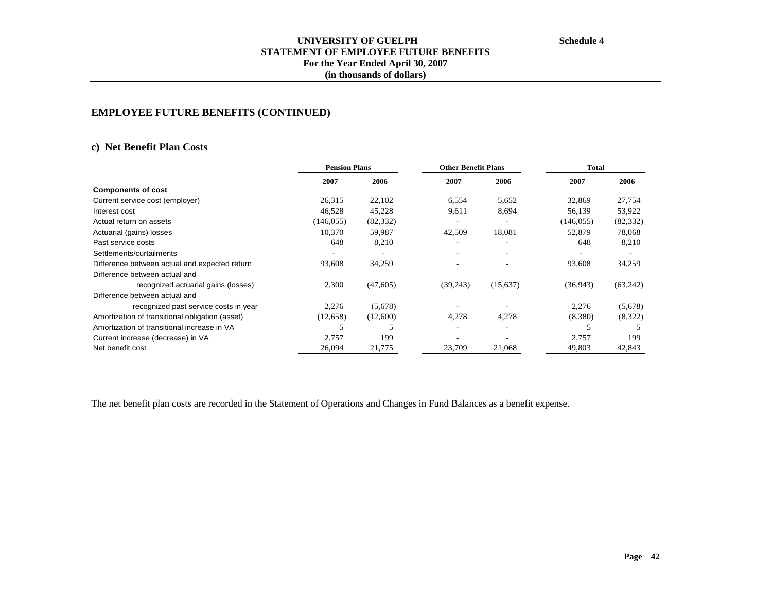# **EMPLOYEE FUTURE BENEFITS (CONTINUED)**

# **c) Net Benefit Plan Costs**

| <b>Pension Plans</b> |           |                          |                          | <b>Total</b>               |           |
|----------------------|-----------|--------------------------|--------------------------|----------------------------|-----------|
| 2007                 | 2006      | 2007                     | 2006                     | 2007                       | 2006      |
|                      |           |                          |                          |                            |           |
| 26,315               | 22,102    | 6,554                    | 5,652                    | 32,869                     | 27,754    |
| 46,528               | 45,228    | 9,611                    | 8,694                    | 56,139                     | 53,922    |
| (146, 055)           | (82, 332) | -                        | $\overline{\phantom{a}}$ | (146, 055)                 | (82, 332) |
| 10,370               | 59,987    | 42,509                   | 18,081                   | 52,879                     | 78,068    |
| 648                  | 8,210     | $\overline{\phantom{0}}$ |                          | 648                        | 8,210     |
|                      |           |                          |                          |                            |           |
| 93,608               | 34,259    |                          |                          | 93,608                     | 34,259    |
|                      |           |                          |                          |                            |           |
| 2,300                | (47,605)  | (39,243)                 | (15,637)                 | (36,943)                   | (63,242)  |
|                      |           |                          |                          |                            |           |
| 2,276                | (5,678)   |                          |                          | 2,276                      | (5,678)   |
| (12,658)             | (12,600)  | 4,278                    | 4,278                    | (8,380)                    | (8,322)   |
|                      |           |                          |                          |                            |           |
| 2,757                | 199       |                          |                          | 2,757                      | 199       |
| 26,094               | 21,775    | 23,709                   | 21,068                   | 49,803                     | 42,843    |
|                      |           |                          |                          | <b>Other Benefit Plans</b> |           |

The net benefit plan costs are recorded in the Statement of Operations and Changes in Fund Balances as a benefit expense.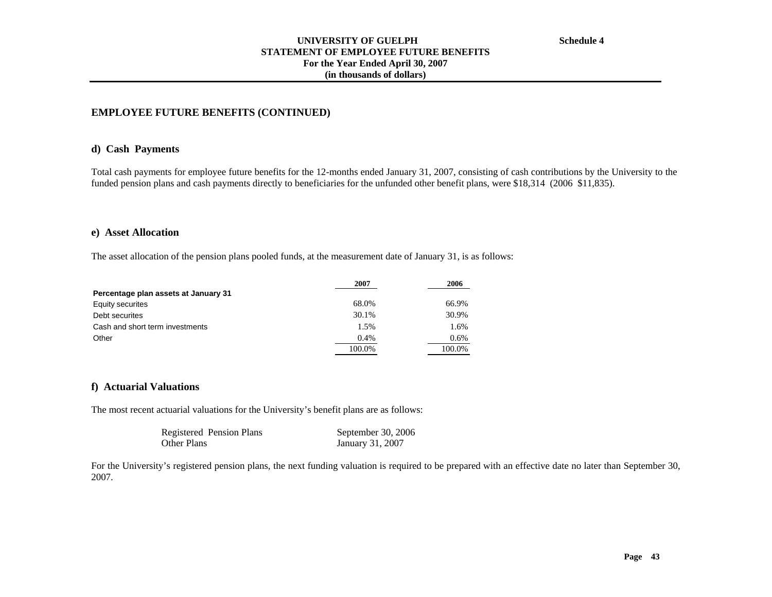## **d) Cash Payments**

Total cash payments for employee future benefits for the 12-months ended January 31, 2007, consisting of cash contributions by the University to the funded pension plans and cash payments directly to beneficiaries for the unfunded other benefit plans, were \$18,314 (2006 \$11,835).

## **e) Asset Allocation**

The asset allocation of the pension plans pooled funds, at the measurement date of January 31, is as follows:

|                                      | 2007    | 2006   |
|--------------------------------------|---------|--------|
| Percentage plan assets at January 31 |         |        |
| Equity securites                     | 68.0%   | 66.9%  |
| Debt securites                       | 30.1%   | 30.9%  |
| Cash and short term investments      | 1.5%    | 1.6%   |
| Other                                | $0.4\%$ | 0.6%   |
|                                      | 100.0%  | 100.0% |

## **f) Actuarial Valuations**

The most recent actuarial valuations for the University's benefit plans are as follows:

| Registered Pension Plans | September 30, 2006 |
|--------------------------|--------------------|
| <b>Other Plans</b>       | January 31, 2007   |

For the University's registered pension plans, the next funding valuation is required to be prepared with an effective date no later than September 30, 2007.

**Schedule 4**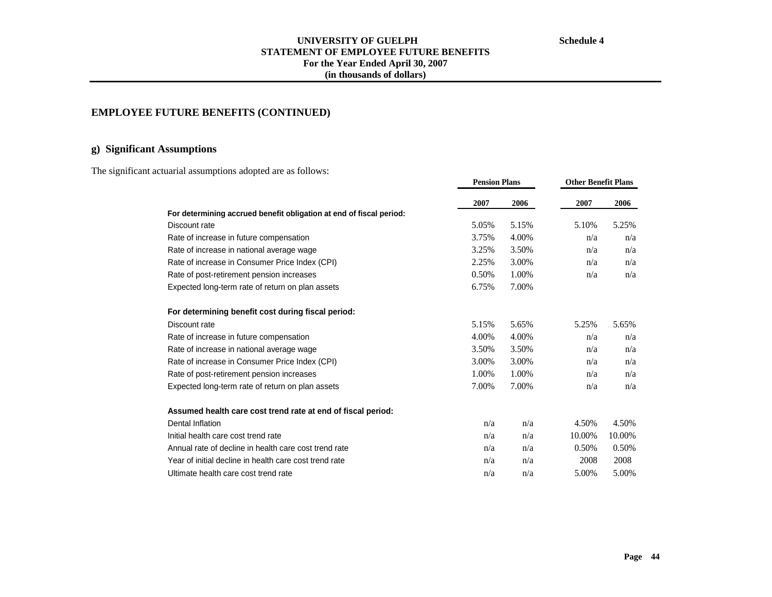**Other Benefit Plans**

**Pension Plans**

## **UNIVERSITY OF GUELPH STATEMENT OF EMPLOYEE FUTURE BENEFITS For the Year Ended April 30, 2007 (in thousands of dollars)**

# **EMPLOYEE FUTURE BENEFITS (CONTINUED)**

# **g) Significant Assumptions**

The significant actuarial assumptions adopted are as follows:

|                                                                     | 2007  | 2006  | 2007   | 2006   |
|---------------------------------------------------------------------|-------|-------|--------|--------|
| For determining accrued benefit obligation at end of fiscal period: |       |       |        |        |
| Discount rate                                                       | 5.05% | 5.15% | 5.10%  | 5.25%  |
| Rate of increase in future compensation                             | 3.75% | 4.00% | n/a    | n/a    |
| Rate of increase in national average wage                           | 3.25% | 3.50% | n/a    | n/a    |
| Rate of increase in Consumer Price Index (CPI)                      | 2.25% | 3.00% | n/a    | n/a    |
| Rate of post-retirement pension increases                           | 0.50% | 1.00% | n/a    | n/a    |
| Expected long-term rate of return on plan assets                    | 6.75% | 7.00% |        |        |
| For determining benefit cost during fiscal period:                  |       |       |        |        |
| Discount rate                                                       | 5.15% | 5.65% | 5.25%  | 5.65%  |
| Rate of increase in future compensation                             | 4.00% | 4.00% | n/a    | n/a    |
| Rate of increase in national average wage                           | 3.50% | 3.50% | n/a    | n/a    |
| Rate of increase in Consumer Price Index (CPI)                      | 3.00% | 3.00% | n/a    | n/a    |
| Rate of post-retirement pension increases                           | 1.00% | 1.00% | n/a    | n/a    |
| Expected long-term rate of return on plan assets                    | 7.00% | 7.00% | n/a    | n/a    |
| Assumed health care cost trend rate at end of fiscal period:        |       |       |        |        |
| Dental Inflation                                                    | n/a   | n/a   | 4.50%  | 4.50%  |
| Initial health care cost trend rate                                 | n/a   | n/a   | 10.00% | 10.00% |
| Annual rate of decline in health care cost trend rate               | n/a   | n/a   | 0.50%  | 0.50%  |
| Year of initial decline in health care cost trend rate              | n/a   | n/a   | 2008   | 2008   |
| Ultimate health care cost trend rate                                | n/a   | n/a   | 5.00%  | 5.00%  |